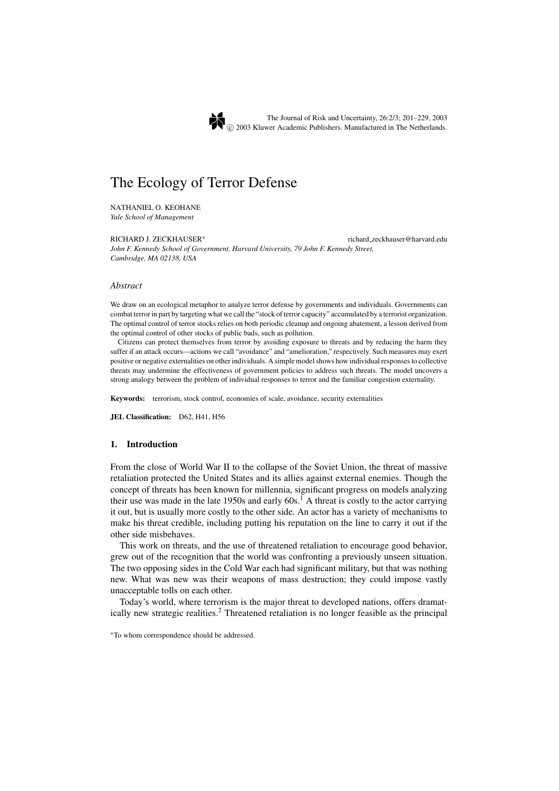# The Ecology of Terror Defense

NATHANIEL O. KEOHANE *Yale School of Management*

RICHARD J. ZECKHAUSER<sup>∗</sup> and the second and the second vertical and the second vertical and the second vertical and the second vertical and the second vertical and the second vertical and the second vertical and the secon *John F. Kennedy School of Government, Harvard University, 79 John F. Kennedy Street, Cambridge, MA 02138, USA*

## *Abstract*

We draw on an ecological metaphor to analyze terror defense by governments and individuals. Governments can combat terror in part by targeting what we call the "stock of terror capacity" accumulated by a terrorist organization. The optimal control of terror stocks relies on both periodic cleanup and ongoing abatement, a lesson derived from the optimal control of other stocks of public bads, such as pollution.

Citizens can protect themselves from terror by avoiding exposure to threats and by reducing the harm they suffer if an attack occurs—actions we call "avoidance" and "amelioration," respectively. Such measures may exert positive or negative externalities on other individuals. A simple model shows how individual responses to collective threats may undermine the effectiveness of government policies to address such threats. The model uncovers a strong analogy between the problem of individual responses to terror and the familiar congestion externality.

**Keywords:** terrorism, stock control, economies of scale, avoidance, security externalities

**JEL Classification:** D62, H41, H56

#### **1. Introduction**

From the close of World War II to the collapse of the Soviet Union, the threat of massive retaliation protected the United States and its allies against external enemies. Though the concept of threats has been known for millennia, significant progress on models analyzing their use was made in the late 1950s and early  $60s<sup>1</sup>$ . A threat is costly to the actor carrying it out, but is usually more costly to the other side. An actor has a variety of mechanisms to make his threat credible, including putting his reputation on the line to carry it out if the other side misbehaves.

This work on threats, and the use of threatened retaliation to encourage good behavior, grew out of the recognition that the world was confronting a previously unseen situation. The two opposing sides in the Cold War each had significant military, but that was nothing new. What was new was their weapons of mass destruction; they could impose vastly unacceptable tolls on each other.

Today's world, where terrorism is the major threat to developed nations, offers dramatically new strategic realities.<sup>2</sup> Threatened retaliation is no longer feasible as the principal

<sup>∗</sup>To whom correspondence should be addressed.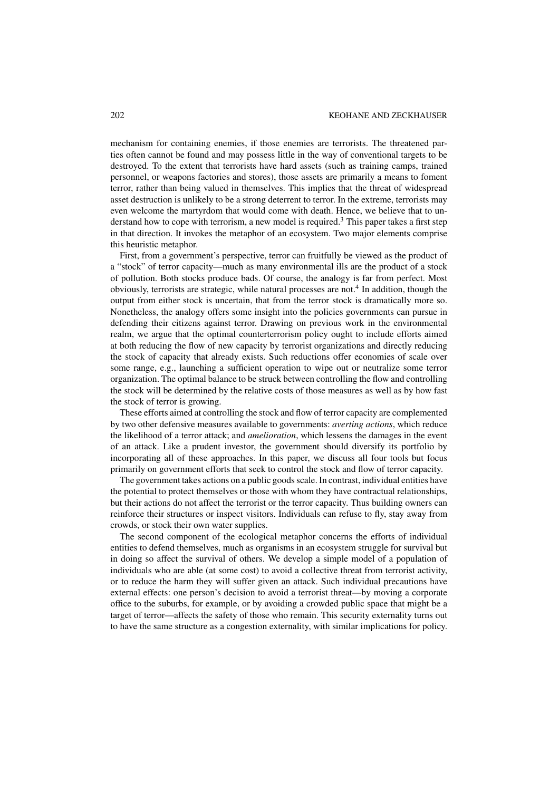mechanism for containing enemies, if those enemies are terrorists. The threatened parties often cannot be found and may possess little in the way of conventional targets to be destroyed. To the extent that terrorists have hard assets (such as training camps, trained personnel, or weapons factories and stores), those assets are primarily a means to foment terror, rather than being valued in themselves. This implies that the threat of widespread asset destruction is unlikely to be a strong deterrent to terror. In the extreme, terrorists may even welcome the martyrdom that would come with death. Hence, we believe that to understand how to cope with terrorism, a new model is required.<sup>3</sup> This paper takes a first step in that direction. It invokes the metaphor of an ecosystem. Two major elements comprise this heuristic metaphor.

First, from a government's perspective, terror can fruitfully be viewed as the product of a "stock" of terror capacity—much as many environmental ills are the product of a stock of pollution. Both stocks produce bads. Of course, the analogy is far from perfect. Most obviously, terrorists are strategic, while natural processes are not.4 In addition, though the output from either stock is uncertain, that from the terror stock is dramatically more so. Nonetheless, the analogy offers some insight into the policies governments can pursue in defending their citizens against terror. Drawing on previous work in the environmental realm, we argue that the optimal counterterrorism policy ought to include efforts aimed at both reducing the flow of new capacity by terrorist organizations and directly reducing the stock of capacity that already exists. Such reductions offer economies of scale over some range, e.g., launching a sufficient operation to wipe out or neutralize some terror organization. The optimal balance to be struck between controlling the flow and controlling the stock will be determined by the relative costs of those measures as well as by how fast the stock of terror is growing.

These efforts aimed at controlling the stock and flow of terror capacity are complemented by two other defensive measures available to governments: *averting actions*, which reduce the likelihood of a terror attack; and *amelioration*, which lessens the damages in the event of an attack. Like a prudent investor, the government should diversify its portfolio by incorporating all of these approaches. In this paper, we discuss all four tools but focus primarily on government efforts that seek to control the stock and flow of terror capacity.

The government takes actions on a public goods scale. In contrast, individual entities have the potential to protect themselves or those with whom they have contractual relationships, but their actions do not affect the terrorist or the terror capacity. Thus building owners can reinforce their structures or inspect visitors. Individuals can refuse to fly, stay away from crowds, or stock their own water supplies.

The second component of the ecological metaphor concerns the efforts of individual entities to defend themselves, much as organisms in an ecosystem struggle for survival but in doing so affect the survival of others. We develop a simple model of a population of individuals who are able (at some cost) to avoid a collective threat from terrorist activity, or to reduce the harm they will suffer given an attack. Such individual precautions have external effects: one person's decision to avoid a terrorist threat—by moving a corporate office to the suburbs, for example, or by avoiding a crowded public space that might be a target of terror—affects the safety of those who remain. This security externality turns out to have the same structure as a congestion externality, with similar implications for policy.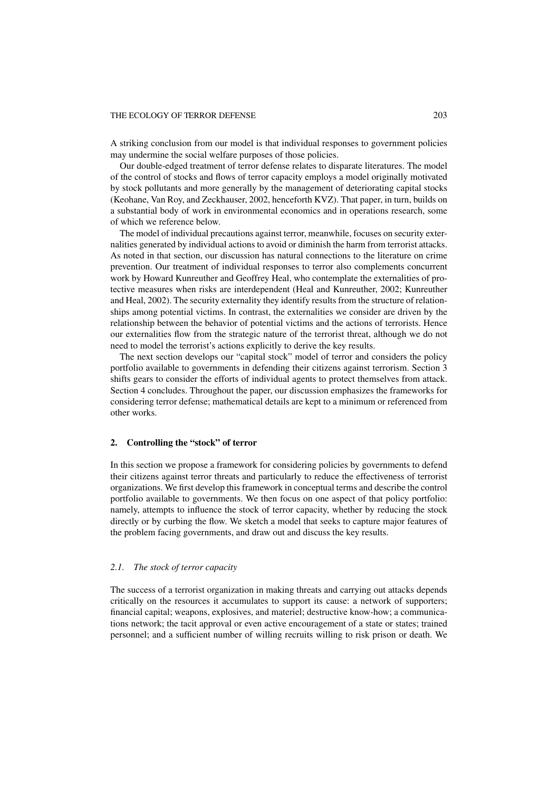A striking conclusion from our model is that individual responses to government policies may undermine the social welfare purposes of those policies.

Our double-edged treatment of terror defense relates to disparate literatures. The model of the control of stocks and flows of terror capacity employs a model originally motivated by stock pollutants and more generally by the management of deteriorating capital stocks (Keohane, Van Roy, and Zeckhauser, 2002, henceforth KVZ). That paper, in turn, builds on a substantial body of work in environmental economics and in operations research, some of which we reference below.

The model of individual precautions against terror, meanwhile, focuses on security externalities generated by individual actions to avoid or diminish the harm from terrorist attacks. As noted in that section, our discussion has natural connections to the literature on crime prevention. Our treatment of individual responses to terror also complements concurrent work by Howard Kunreuther and Geoffrey Heal, who contemplate the externalities of protective measures when risks are interdependent (Heal and Kunreuther, 2002; Kunreuther and Heal, 2002). The security externality they identify results from the structure of relationships among potential victims. In contrast, the externalities we consider are driven by the relationship between the behavior of potential victims and the actions of terrorists. Hence our externalities flow from the strategic nature of the terrorist threat, although we do not need to model the terrorist's actions explicitly to derive the key results.

The next section develops our "capital stock" model of terror and considers the policy portfolio available to governments in defending their citizens against terrorism. Section 3 shifts gears to consider the efforts of individual agents to protect themselves from attack. Section 4 concludes. Throughout the paper, our discussion emphasizes the frameworks for considering terror defense; mathematical details are kept to a minimum or referenced from other works.

## **2. Controlling the "stock" of terror**

In this section we propose a framework for considering policies by governments to defend their citizens against terror threats and particularly to reduce the effectiveness of terrorist organizations. We first develop this framework in conceptual terms and describe the control portfolio available to governments. We then focus on one aspect of that policy portfolio: namely, attempts to influence the stock of terror capacity, whether by reducing the stock directly or by curbing the flow. We sketch a model that seeks to capture major features of the problem facing governments, and draw out and discuss the key results.

## *2.1. The stock of terror capacity*

The success of a terrorist organization in making threats and carrying out attacks depends critically on the resources it accumulates to support its cause: a network of supporters; financial capital; weapons, explosives, and materiel; destructive know-how; a communications network; the tacit approval or even active encouragement of a state or states; trained personnel; and a sufficient number of willing recruits willing to risk prison or death. We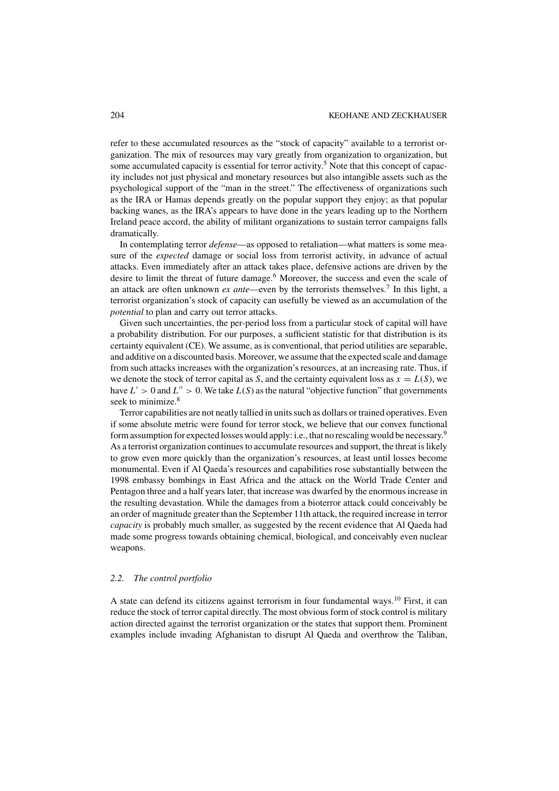refer to these accumulated resources as the "stock of capacity" available to a terrorist organization. The mix of resources may vary greatly from organization to organization, but some accumulated capacity is essential for terror activity.<sup>5</sup> Note that this concept of capacity includes not just physical and monetary resources but also intangible assets such as the psychological support of the "man in the street." The effectiveness of organizations such as the IRA or Hamas depends greatly on the popular support they enjoy; as that popular backing wanes, as the IRA's appears to have done in the years leading up to the Northern Ireland peace accord, the ability of militant organizations to sustain terror campaigns falls dramatically.

In contemplating terror *defense*—as opposed to retaliation—what matters is some measure of the *expected* damage or social loss from terrorist activity, in advance of actual attacks. Even immediately after an attack takes place, defensive actions are driven by the desire to limit the threat of future damage.<sup>6</sup> Moreover, the success and even the scale of an attack are often unknown *ex ante*—even by the terrorists themselves.<sup>7</sup> In this light, a terrorist organization's stock of capacity can usefully be viewed as an accumulation of the *potential* to plan and carry out terror attacks.

Given such uncertainties, the per-period loss from a particular stock of capital will have a probability distribution. For our purposes, a sufficient statistic for that distribution is its certainty equivalent (CE). We assume, as is conventional, that period utilities are separable, and additive on a discounted basis. Moreover, we assume that the expected scale and damage from such attacks increases with the organization's resources, at an increasing rate. Thus, if we denote the stock of terror capital as *S*, and the certainty equivalent loss as  $x = L(S)$ , we have  $L' > 0$  and  $L'' > 0$ . We take  $L(S)$  as the natural "objective function" that governments seek to minimize.<sup>8</sup>

Terror capabilities are not neatly tallied in units such as dollars or trained operatives. Even if some absolute metric were found for terror stock, we believe that our convex functional form assumption for expected losses would apply: i.e., that no rescaling would be necessary.<sup>9</sup> As a terrorist organization continues to accumulate resources and support, the threat is likely to grow even more quickly than the organization's resources, at least until losses become monumental. Even if Al Qaeda's resources and capabilities rose substantially between the 1998 embassy bombings in East Africa and the attack on the World Trade Center and Pentagon three and a half years later, that increase was dwarfed by the enormous increase in the resulting devastation. While the damages from a bioterror attack could conceivably be an order of magnitude greater than the September 11th attack, the required increase in terror *capacity* is probably much smaller, as suggested by the recent evidence that Al Qaeda had made some progress towards obtaining chemical, biological, and conceivably even nuclear weapons.

## *2.2. The control portfolio*

A state can defend its citizens against terrorism in four fundamental ways.<sup>10</sup> First, it can reduce the stock of terror capital directly. The most obvious form of stock control is military action directed against the terrorist organization or the states that support them. Prominent examples include invading Afghanistan to disrupt Al Qaeda and overthrow the Taliban,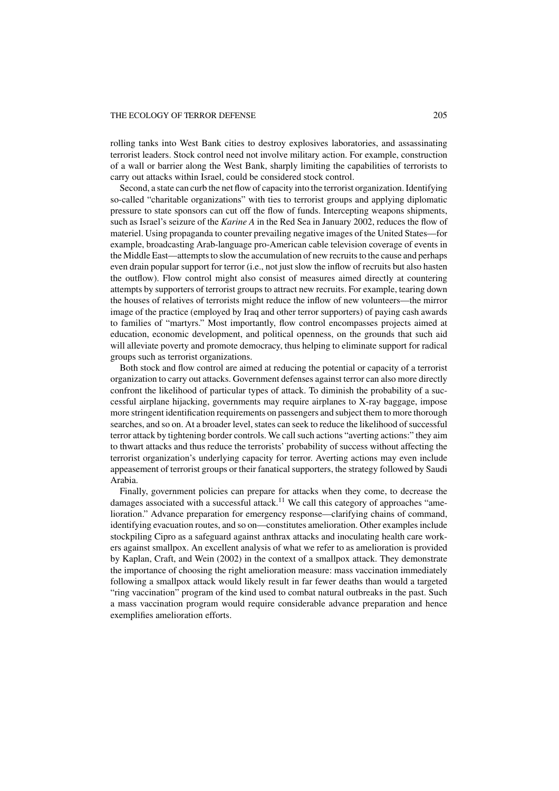rolling tanks into West Bank cities to destroy explosives laboratories, and assassinating terrorist leaders. Stock control need not involve military action. For example, construction of a wall or barrier along the West Bank, sharply limiting the capabilities of terrorists to carry out attacks within Israel, could be considered stock control.

Second, a state can curb the net flow of capacity into the terrorist organization. Identifying so-called "charitable organizations" with ties to terrorist groups and applying diplomatic pressure to state sponsors can cut off the flow of funds. Intercepting weapons shipments, such as Israel's seizure of the *Karine A* in the Red Sea in January 2002, reduces the flow of materiel. Using propaganda to counter prevailing negative images of the United States—for example, broadcasting Arab-language pro-American cable television coverage of events in the Middle East—attempts to slow the accumulation of new recruits to the cause and perhaps even drain popular support for terror (i.e., not just slow the inflow of recruits but also hasten the outflow). Flow control might also consist of measures aimed directly at countering attempts by supporters of terrorist groups to attract new recruits. For example, tearing down the houses of relatives of terrorists might reduce the inflow of new volunteers—the mirror image of the practice (employed by Iraq and other terror supporters) of paying cash awards to families of "martyrs." Most importantly, flow control encompasses projects aimed at education, economic development, and political openness, on the grounds that such aid will alleviate poverty and promote democracy, thus helping to eliminate support for radical groups such as terrorist organizations.

Both stock and flow control are aimed at reducing the potential or capacity of a terrorist organization to carry out attacks. Government defenses against terror can also more directly confront the likelihood of particular types of attack. To diminish the probability of a successful airplane hijacking, governments may require airplanes to X-ray baggage, impose more stringent identification requirements on passengers and subject them to more thorough searches, and so on. At a broader level, states can seek to reduce the likelihood of successful terror attack by tightening border controls. We call such actions "averting actions:" they aim to thwart attacks and thus reduce the terrorists' probability of success without affecting the terrorist organization's underlying capacity for terror. Averting actions may even include appeasement of terrorist groups or their fanatical supporters, the strategy followed by Saudi Arabia.

Finally, government policies can prepare for attacks when they come, to decrease the damages associated with a successful attack.<sup>11</sup> We call this category of approaches "amelioration." Advance preparation for emergency response—clarifying chains of command, identifying evacuation routes, and so on—constitutes amelioration. Other examples include stockpiling Cipro as a safeguard against anthrax attacks and inoculating health care workers against smallpox. An excellent analysis of what we refer to as amelioration is provided by Kaplan, Craft, and Wein (2002) in the context of a smallpox attack. They demonstrate the importance of choosing the right amelioration measure: mass vaccination immediately following a smallpox attack would likely result in far fewer deaths than would a targeted "ring vaccination" program of the kind used to combat natural outbreaks in the past. Such a mass vaccination program would require considerable advance preparation and hence exemplifies amelioration efforts.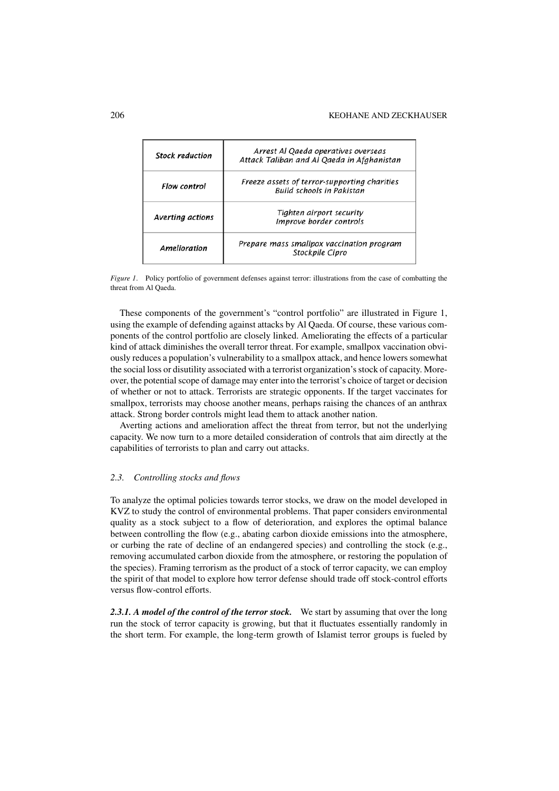| <b>Stock reduction</b> | Arrest Al Qaeda operatives overseas<br>Attack Taliban and Al Qaeda in Afghanistan |
|------------------------|-----------------------------------------------------------------------------------|
| Flow control           | Freeze assets of terror-supporting charities<br>Build schools in Pakistan         |
| Averting actions       | Tighten airport security<br>Improve border controls                               |
| Amelioration           | Prepare mass smallpox vaccination program<br>Stockpile Cipro                      |

*Figure 1*. Policy portfolio of government defenses against terror: illustrations from the case of combatting the threat from Al Qaeda.

These components of the government's "control portfolio" are illustrated in Figure 1, using the example of defending against attacks by Al Qaeda. Of course, these various components of the control portfolio are closely linked. Ameliorating the effects of a particular kind of attack diminishes the overall terror threat. For example, smallpox vaccination obviously reduces a population's vulnerability to a smallpox attack, and hence lowers somewhat the social loss or disutility associated with a terrorist organization's stock of capacity. Moreover, the potential scope of damage may enter into the terrorist's choice of target or decision of whether or not to attack. Terrorists are strategic opponents. If the target vaccinates for smallpox, terrorists may choose another means, perhaps raising the chances of an anthrax attack. Strong border controls might lead them to attack another nation.

Averting actions and amelioration affect the threat from terror, but not the underlying capacity. We now turn to a more detailed consideration of controls that aim directly at the capabilities of terrorists to plan and carry out attacks.

# *2.3. Controlling stocks and flows*

To analyze the optimal policies towards terror stocks, we draw on the model developed in KVZ to study the control of environmental problems. That paper considers environmental quality as a stock subject to a flow of deterioration, and explores the optimal balance between controlling the flow (e.g., abating carbon dioxide emissions into the atmosphere, or curbing the rate of decline of an endangered species) and controlling the stock (e.g., removing accumulated carbon dioxide from the atmosphere, or restoring the population of the species). Framing terrorism as the product of a stock of terror capacity, we can employ the spirit of that model to explore how terror defense should trade off stock-control efforts versus flow-control efforts.

*2.3.1. A model of the control of the terror stock.* We start by assuming that over the long run the stock of terror capacity is growing, but that it fluctuates essentially randomly in the short term. For example, the long-term growth of Islamist terror groups is fueled by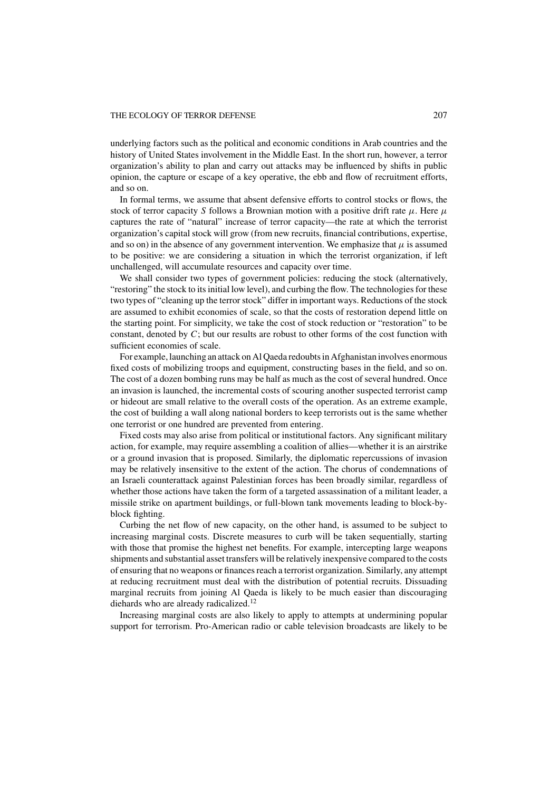underlying factors such as the political and economic conditions in Arab countries and the history of United States involvement in the Middle East. In the short run, however, a terror organization's ability to plan and carry out attacks may be influenced by shifts in public opinion, the capture or escape of a key operative, the ebb and flow of recruitment efforts, and so on.

In formal terms, we assume that absent defensive efforts to control stocks or flows, the stock of terror capacity *S* follows a Brownian motion with a positive drift rate  $\mu$ . Here  $\mu$ captures the rate of "natural" increase of terror capacity—the rate at which the terrorist organization's capital stock will grow (from new recruits, financial contributions, expertise, and so on) in the absence of any government intervention. We emphasize that  $\mu$  is assumed to be positive: we are considering a situation in which the terrorist organization, if left unchallenged, will accumulate resources and capacity over time.

We shall consider two types of government policies: reducing the stock (alternatively, "restoring" the stock to its initial low level), and curbing the flow. The technologies for these two types of "cleaning up the terror stock" differ in important ways. Reductions of the stock are assumed to exhibit economies of scale, so that the costs of restoration depend little on the starting point. For simplicity, we take the cost of stock reduction or "restoration" to be constant, denoted by *C*; but our results are robust to other forms of the cost function with sufficient economies of scale.

For example, launching an attack on Al Qaeda redoubts in Afghanistan involves enormous fixed costs of mobilizing troops and equipment, constructing bases in the field, and so on. The cost of a dozen bombing runs may be half as much as the cost of several hundred. Once an invasion is launched, the incremental costs of scouring another suspected terrorist camp or hideout are small relative to the overall costs of the operation. As an extreme example, the cost of building a wall along national borders to keep terrorists out is the same whether one terrorist or one hundred are prevented from entering.

Fixed costs may also arise from political or institutional factors. Any significant military action, for example, may require assembling a coalition of allies—whether it is an airstrike or a ground invasion that is proposed. Similarly, the diplomatic repercussions of invasion may be relatively insensitive to the extent of the action. The chorus of condemnations of an Israeli counterattack against Palestinian forces has been broadly similar, regardless of whether those actions have taken the form of a targeted assassination of a militant leader, a missile strike on apartment buildings, or full-blown tank movements leading to block-byblock fighting.

Curbing the net flow of new capacity, on the other hand, is assumed to be subject to increasing marginal costs. Discrete measures to curb will be taken sequentially, starting with those that promise the highest net benefits. For example, intercepting large weapons shipments and substantial asset transfers will be relatively inexpensive compared to the costs of ensuring that no weapons or finances reach a terrorist organization. Similarly, any attempt at reducing recruitment must deal with the distribution of potential recruits. Dissuading marginal recruits from joining Al Qaeda is likely to be much easier than discouraging diehards who are already radicalized.12

Increasing marginal costs are also likely to apply to attempts at undermining popular support for terrorism. Pro-American radio or cable television broadcasts are likely to be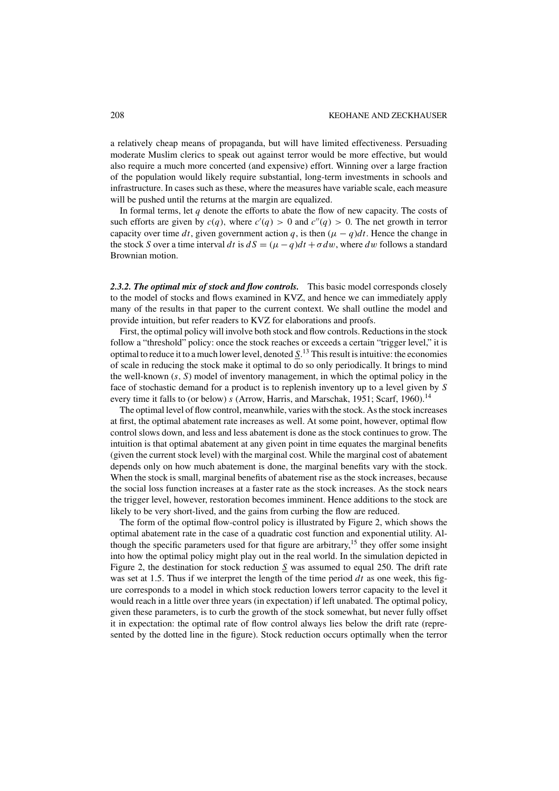a relatively cheap means of propaganda, but will have limited effectiveness. Persuading moderate Muslim clerics to speak out against terror would be more effective, but would also require a much more concerted (and expensive) effort. Winning over a large fraction of the population would likely require substantial, long-term investments in schools and infrastructure. In cases such as these, where the measures have variable scale, each measure will be pushed until the returns at the margin are equalized.

In formal terms, let  $q$  denote the efforts to abate the flow of new capacity. The costs of such efforts are given by  $c(q)$ , where  $c'(q) > 0$  and  $c''(q) > 0$ . The net growth in terror capacity over time *dt*, given government action *q*, is then  $(\mu - q)dt$ . Hence the change in the stock *S* over a time interval *dt* is  $dS = (\mu - q)dt + \sigma dw$ , where *dw* follows a standard Brownian motion.

*2.3.2. The optimal mix of stock and flow controls.* This basic model corresponds closely to the model of stocks and flows examined in KVZ, and hence we can immediately apply many of the results in that paper to the current context. We shall outline the model and provide intuition, but refer readers to KVZ for elaborations and proofs.

First, the optimal policy will involve both stock and flow controls. Reductions in the stock follow a "threshold" policy: once the stock reaches or exceeds a certain "trigger level," it is optimal to reduce it to a much lower level, denoted *S*. <sup>13</sup> This result is intuitive: the economies of scale in reducing the stock make it optimal to do so only periodically. It brings to mind the well-known (*s*, *S*) model of inventory management, in which the optimal policy in the face of stochastic demand for a product is to replenish inventory up to a level given by *S* every time it falls to (or below) *s* (Arrow, Harris, and Marschak, 1951; Scarf, 1960).<sup>14</sup>

The optimal level of flow control, meanwhile, varies with the stock. As the stock increases at first, the optimal abatement rate increases as well. At some point, however, optimal flow control slows down, and less and less abatement is done as the stock continues to grow. The intuition is that optimal abatement at any given point in time equates the marginal benefits (given the current stock level) with the marginal cost. While the marginal cost of abatement depends only on how much abatement is done, the marginal benefits vary with the stock. When the stock is small, marginal benefits of abatement rise as the stock increases, because the social loss function increases at a faster rate as the stock increases. As the stock nears the trigger level, however, restoration becomes imminent. Hence additions to the stock are likely to be very short-lived, and the gains from curbing the flow are reduced.

The form of the optimal flow-control policy is illustrated by Figure 2, which shows the optimal abatement rate in the case of a quadratic cost function and exponential utility. Although the specific parameters used for that figure are arbitrary,<sup>15</sup> they offer some insight into how the optimal policy might play out in the real world. In the simulation depicted in Figure 2, the destination for stock reduction  $S$  was assumed to equal 250. The drift rate was set at 1.5. Thus if we interpret the length of the time period *dt* as one week, this figure corresponds to a model in which stock reduction lowers terror capacity to the level it would reach in a little over three years (in expectation) if left unabated. The optimal policy, given these parameters, is to curb the growth of the stock somewhat, but never fully offset it in expectation: the optimal rate of flow control always lies below the drift rate (represented by the dotted line in the figure). Stock reduction occurs optimally when the terror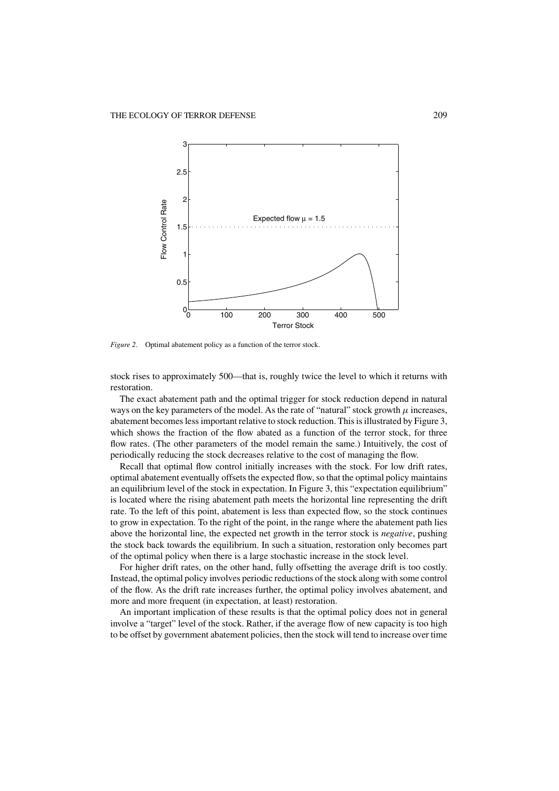

*Figure 2*. Optimal abatement policy as a function of the terror stock.

stock rises to approximately 500—that is, roughly twice the level to which it returns with restoration.

The exact abatement path and the optimal trigger for stock reduction depend in natural ways on the key parameters of the model. As the rate of "natural" stock growth  $\mu$  increases, abatement becomes less important relative to stock reduction. This is illustrated by Figure 3, which shows the fraction of the flow abated as a function of the terror stock, for three flow rates. (The other parameters of the model remain the same.) Intuitively, the cost of periodically reducing the stock decreases relative to the cost of managing the flow.

Recall that optimal flow control initially increases with the stock. For low drift rates, optimal abatement eventually offsets the expected flow, so that the optimal policy maintains an equilibrium level of the stock in expectation. In Figure 3, this "expectation equilibrium" is located where the rising abatement path meets the horizontal line representing the drift rate. To the left of this point, abatement is less than expected flow, so the stock continues to grow in expectation. To the right of the point, in the range where the abatement path lies above the horizontal line, the expected net growth in the terror stock is *negative*, pushing the stock back towards the equilibrium. In such a situation, restoration only becomes part of the optimal policy when there is a large stochastic increase in the stock level.

For higher drift rates, on the other hand, fully offsetting the average drift is too costly. Instead, the optimal policy involves periodic reductions of the stock along with some control of the flow. As the drift rate increases further, the optimal policy involves abatement, and more and more frequent (in expectation, at least) restoration.

An important implication of these results is that the optimal policy does not in general involve a "target" level of the stock. Rather, if the average flow of new capacity is too high to be offset by government abatement policies, then the stock will tend to increase over time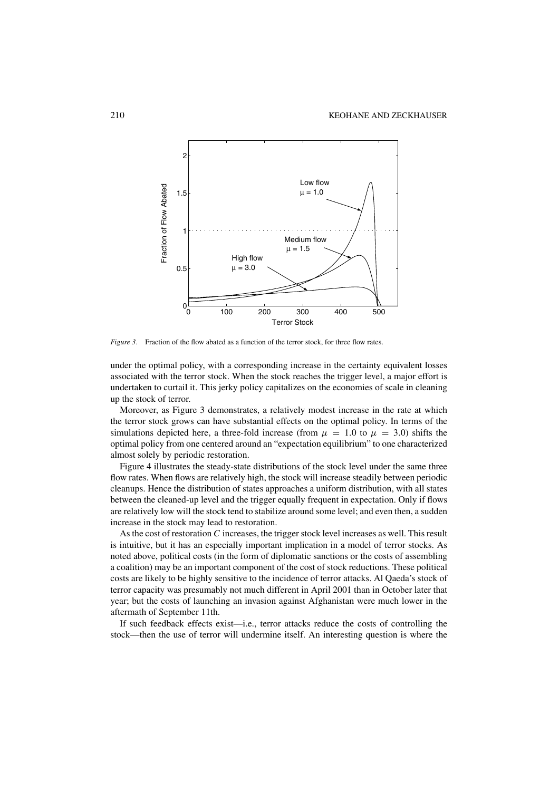

*Figure 3.* Fraction of the flow abated as a function of the terror stock, for three flow rates.

under the optimal policy, with a corresponding increase in the certainty equivalent losses associated with the terror stock. When the stock reaches the trigger level, a major effort is undertaken to curtail it. This jerky policy capitalizes on the economies of scale in cleaning up the stock of terror.

Moreover, as Figure 3 demonstrates, a relatively modest increase in the rate at which the terror stock grows can have substantial effects on the optimal policy. In terms of the simulations depicted here, a three-fold increase (from  $\mu = 1.0$  to  $\mu = 3.0$ ) shifts the optimal policy from one centered around an "expectation equilibrium" to one characterized almost solely by periodic restoration.

Figure 4 illustrates the steady-state distributions of the stock level under the same three flow rates. When flows are relatively high, the stock will increase steadily between periodic cleanups. Hence the distribution of states approaches a uniform distribution, with all states between the cleaned-up level and the trigger equally frequent in expectation. Only if flows are relatively low will the stock tend to stabilize around some level; and even then, a sudden increase in the stock may lead to restoration.

As the cost of restoration *C* increases, the trigger stock level increases as well. This result is intuitive, but it has an especially important implication in a model of terror stocks. As noted above, political costs (in the form of diplomatic sanctions or the costs of assembling a coalition) may be an important component of the cost of stock reductions. These political costs are likely to be highly sensitive to the incidence of terror attacks. Al Qaeda's stock of terror capacity was presumably not much different in April 2001 than in October later that year; but the costs of launching an invasion against Afghanistan were much lower in the aftermath of September 11th.

If such feedback effects exist—i.e., terror attacks reduce the costs of controlling the stock—then the use of terror will undermine itself. An interesting question is where the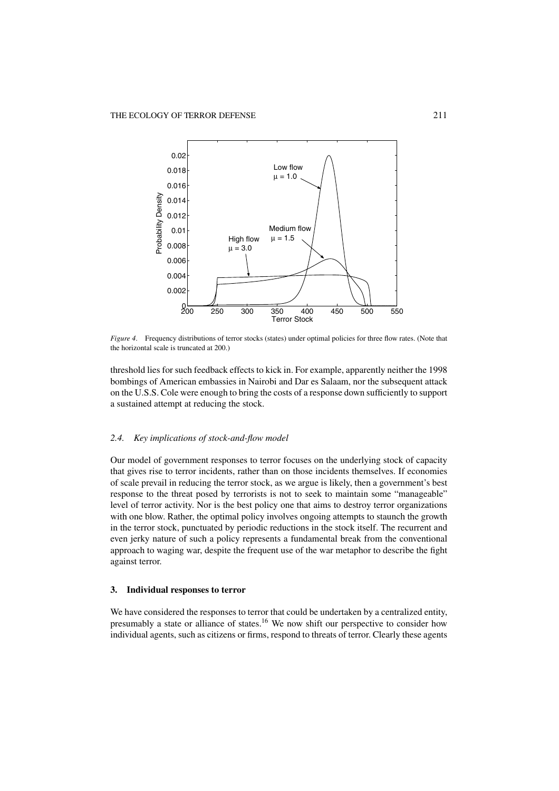

*Figure 4.* Frequency distributions of terror stocks (states) under optimal policies for three flow rates. (Note that the horizontal scale is truncated at 200.)

threshold lies for such feedback effects to kick in. For example, apparently neither the 1998 bombings of American embassies in Nairobi and Dar es Salaam, nor the subsequent attack on the U.S.S. Cole were enough to bring the costs of a response down sufficiently to support a sustained attempt at reducing the stock.

## *2.4. Key implications of stock-and-flow model*

Our model of government responses to terror focuses on the underlying stock of capacity that gives rise to terror incidents, rather than on those incidents themselves. If economies of scale prevail in reducing the terror stock, as we argue is likely, then a government's best response to the threat posed by terrorists is not to seek to maintain some "manageable" level of terror activity. Nor is the best policy one that aims to destroy terror organizations with one blow. Rather, the optimal policy involves ongoing attempts to staunch the growth in the terror stock, punctuated by periodic reductions in the stock itself. The recurrent and even jerky nature of such a policy represents a fundamental break from the conventional approach to waging war, despite the frequent use of the war metaphor to describe the fight against terror.

## **3. Individual responses to terror**

We have considered the responses to terror that could be undertaken by a centralized entity, presumably a state or alliance of states.<sup>16</sup> We now shift our perspective to consider how individual agents, such as citizens or firms, respond to threats of terror. Clearly these agents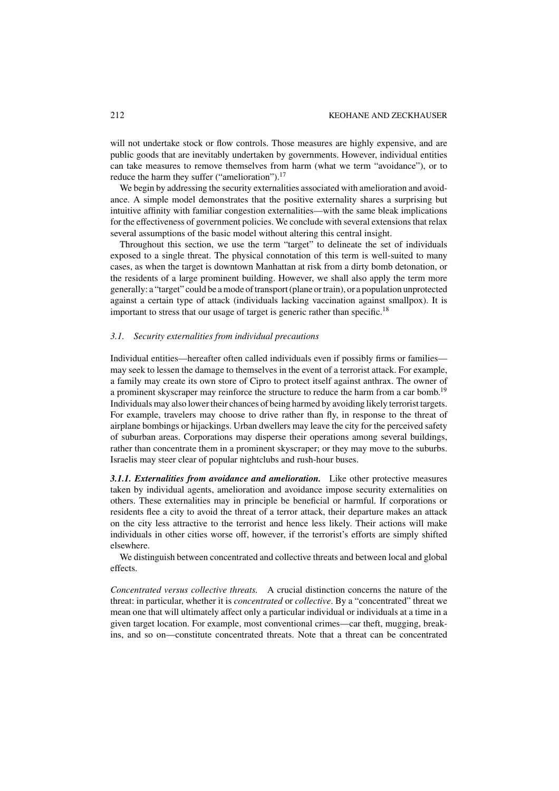will not undertake stock or flow controls. Those measures are highly expensive, and are public goods that are inevitably undertaken by governments. However, individual entities can take measures to remove themselves from harm (what we term "avoidance"), or to reduce the harm they suffer ("amelioration").<sup>17</sup>

We begin by addressing the security externalities associated with amelioration and avoidance. A simple model demonstrates that the positive externality shares a surprising but intuitive affinity with familiar congestion externalities—with the same bleak implications for the effectiveness of government policies. We conclude with several extensions that relax several assumptions of the basic model without altering this central insight.

Throughout this section, we use the term "target" to delineate the set of individuals exposed to a single threat. The physical connotation of this term is well-suited to many cases, as when the target is downtown Manhattan at risk from a dirty bomb detonation, or the residents of a large prominent building. However, we shall also apply the term more generally: a "target" could be a mode of transport (plane or train), or a population unprotected against a certain type of attack (individuals lacking vaccination against smallpox). It is important to stress that our usage of target is generic rather than specific.<sup>18</sup>

# *3.1. Security externalities from individual precautions*

Individual entities—hereafter often called individuals even if possibly firms or families may seek to lessen the damage to themselves in the event of a terrorist attack. For example, a family may create its own store of Cipro to protect itself against anthrax. The owner of a prominent skyscraper may reinforce the structure to reduce the harm from a car bomb.<sup>19</sup> Individuals may also lower their chances of being harmed by avoiding likely terrorist targets. For example, travelers may choose to drive rather than fly, in response to the threat of airplane bombings or hijackings. Urban dwellers may leave the city for the perceived safety of suburban areas. Corporations may disperse their operations among several buildings, rather than concentrate them in a prominent skyscraper; or they may move to the suburbs. Israelis may steer clear of popular nightclubs and rush-hour buses.

*3.1.1. Externalities from avoidance and amelioration.* Like other protective measures taken by individual agents, amelioration and avoidance impose security externalities on others. These externalities may in principle be beneficial or harmful. If corporations or residents flee a city to avoid the threat of a terror attack, their departure makes an attack on the city less attractive to the terrorist and hence less likely. Their actions will make individuals in other cities worse off, however, if the terrorist's efforts are simply shifted elsewhere.

We distinguish between concentrated and collective threats and between local and global effects.

*Concentrated versus collective threats.* A crucial distinction concerns the nature of the threat: in particular, whether it is *concentrated* or *collective*. By a "concentrated" threat we mean one that will ultimately affect only a particular individual or individuals at a time in a given target location. For example, most conventional crimes—car theft, mugging, breakins, and so on—constitute concentrated threats. Note that a threat can be concentrated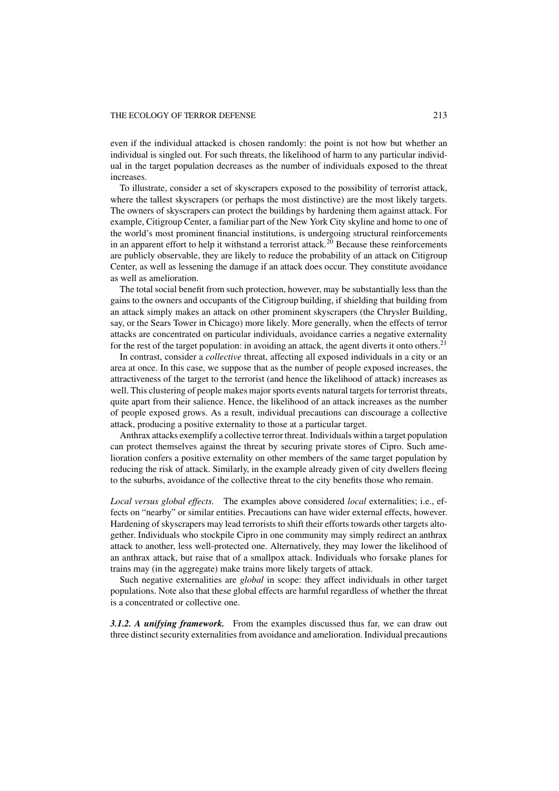even if the individual attacked is chosen randomly: the point is not how but whether an individual is singled out. For such threats, the likelihood of harm to any particular individual in the target population decreases as the number of individuals exposed to the threat increases.

To illustrate, consider a set of skyscrapers exposed to the possibility of terrorist attack, where the tallest skyscrapers (or perhaps the most distinctive) are the most likely targets. The owners of skyscrapers can protect the buildings by hardening them against attack. For example, Citigroup Center, a familiar part of the New York City skyline and home to one of the world's most prominent financial institutions, is undergoing structural reinforcements in an apparent effort to help it withstand a terrorist attack.<sup>20</sup> Because these reinforcements are publicly observable, they are likely to reduce the probability of an attack on Citigroup Center, as well as lessening the damage if an attack does occur. They constitute avoidance as well as amelioration.

The total social benefit from such protection, however, may be substantially less than the gains to the owners and occupants of the Citigroup building, if shielding that building from an attack simply makes an attack on other prominent skyscrapers (the Chrysler Building, say, or the Sears Tower in Chicago) more likely. More generally, when the effects of terror attacks are concentrated on particular individuals, avoidance carries a negative externality for the rest of the target population: in avoiding an attack, the agent diverts it onto others.<sup>21</sup>

In contrast, consider a *collective* threat, affecting all exposed individuals in a city or an area at once. In this case, we suppose that as the number of people exposed increases, the attractiveness of the target to the terrorist (and hence the likelihood of attack) increases as well. This clustering of people makes major sports events natural targets for terrorist threats, quite apart from their salience. Hence, the likelihood of an attack increases as the number of people exposed grows. As a result, individual precautions can discourage a collective attack, producing a positive externality to those at a particular target.

Anthrax attacks exemplify a collective terror threat. Individuals within a target population can protect themselves against the threat by securing private stores of Cipro. Such amelioration confers a positive externality on other members of the same target population by reducing the risk of attack. Similarly, in the example already given of city dwellers fleeing to the suburbs, avoidance of the collective threat to the city benefits those who remain.

*Local versus global effects.* The examples above considered *local* externalities; i.e., effects on "nearby" or similar entities. Precautions can have wider external effects, however. Hardening of skyscrapers may lead terrorists to shift their efforts towards other targets altogether. Individuals who stockpile Cipro in one community may simply redirect an anthrax attack to another, less well-protected one. Alternatively, they may lower the likelihood of an anthrax attack, but raise that of a smallpox attack. Individuals who forsake planes for trains may (in the aggregate) make trains more likely targets of attack.

Such negative externalities are *global* in scope: they affect individuals in other target populations. Note also that these global effects are harmful regardless of whether the threat is a concentrated or collective one.

*3.1.2. A unifying framework.* From the examples discussed thus far, we can draw out three distinct security externalities from avoidance and amelioration. Individual precautions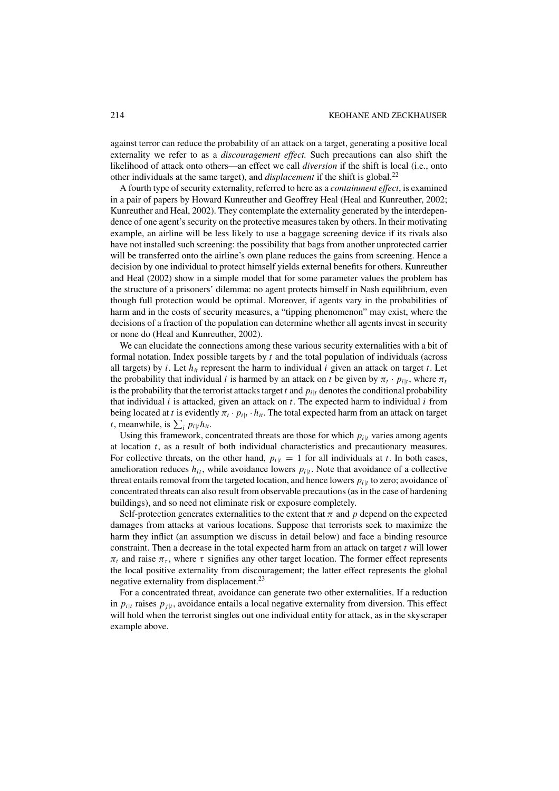against terror can reduce the probability of an attack on a target, generating a positive local externality we refer to as a *discouragement effect.* Such precautions can also shift the likelihood of attack onto others—an effect we call *diversion* if the shift is local (i.e., onto other individuals at the same target), and *displacement* if the shift is global.<sup>22</sup>

A fourth type of security externality, referred to here as a *containment effect*, is examined in a pair of papers by Howard Kunreuther and Geoffrey Heal (Heal and Kunreuther, 2002; Kunreuther and Heal, 2002). They contemplate the externality generated by the interdependence of one agent's security on the protective measures taken by others. In their motivating example, an airline will be less likely to use a baggage screening device if its rivals also have not installed such screening: the possibility that bags from another unprotected carrier will be transferred onto the airline's own plane reduces the gains from screening. Hence a decision by one individual to protect himself yields external benefits for others. Kunreuther and Heal (2002) show in a simple model that for some parameter values the problem has the structure of a prisoners' dilemma: no agent protects himself in Nash equilibrium, even though full protection would be optimal. Moreover, if agents vary in the probabilities of harm and in the costs of security measures, a "tipping phenomenon" may exist, where the decisions of a fraction of the population can determine whether all agents invest in security or none do (Heal and Kunreuther, 2002).

We can elucidate the connections among these various security externalities with a bit of formal notation. Index possible targets by *t* and the total population of individuals (across all targets) by *i*. Let  $h_{it}$  represent the harm to individual *i* given an attack on target *t*. Let the probability that individual *i* is harmed by an attack on *t* be given by  $\pi_t \cdot p_{i|t}$ , where  $\pi_t$ is the probability that the terrorist attacks target  $t$  and  $p_{i|t}$  denotes the conditional probability that individual *i* is attacked, given an attack on *t*. The expected harm to individual *i* from being located at *t* is evidently  $\pi_t \cdot p_{i|t} \cdot h_{it}$ . The total expected harm from an attack on target *t*, meanwhile, is  $\sum_{i} p_{i|t} h_{it}$ .

Using this framework, concentrated threats are those for which  $p_{i|t}$  varies among agents at location *t*, as a result of both individual characteristics and precautionary measures. For collective threats, on the other hand,  $p_{i|t} = 1$  for all individuals at *t*. In both cases, amelioration reduces  $h_{it}$ , while avoidance lowers  $p_{it}$ . Note that avoidance of a collective threat entails removal from the targeted location, and hence lowers  $p_{i|t}$  to zero; avoidance of concentrated threats can also result from observable precautions (as in the case of hardening buildings), and so need not eliminate risk or exposure completely.

Self-protection generates externalities to the extent that  $\pi$  and  $p$  depend on the expected damages from attacks at various locations. Suppose that terrorists seek to maximize the harm they inflict (an assumption we discuss in detail below) and face a binding resource constraint. Then a decrease in the total expected harm from an attack on target *t* will lower  $\pi_t$  and raise  $\pi_{\tau}$ , where  $\tau$  signifies any other target location. The former effect represents the local positive externality from discouragement; the latter effect represents the global negative externality from displacement.<sup>23</sup>

For a concentrated threat, avoidance can generate two other externalities. If a reduction in  $p_{i|t}$  raises  $p_{i|t}$ , avoidance entails a local negative externality from diversion. This effect will hold when the terrorist singles out one individual entity for attack, as in the skyscraper example above.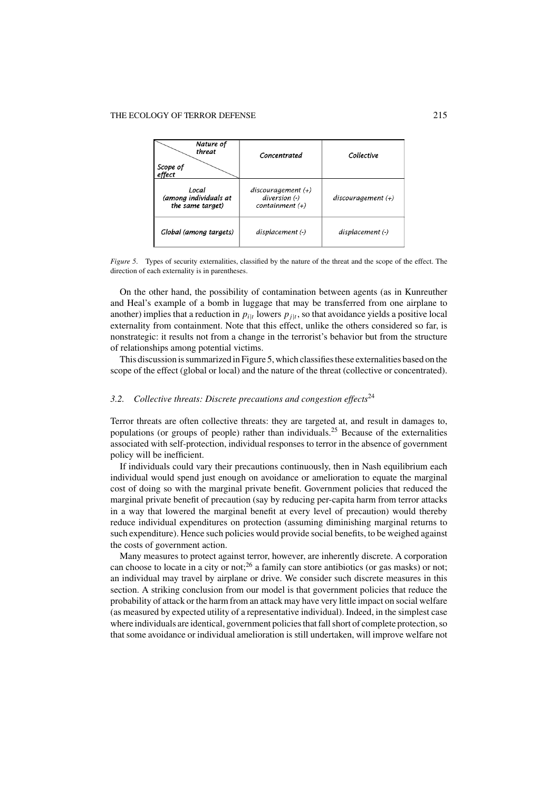

*Figure 5*. Types of security externalities, classified by the nature of the threat and the scope of the effect. The direction of each externality is in parentheses.

On the other hand, the possibility of contamination between agents (as in Kunreuther and Heal's example of a bomb in luggage that may be transferred from one airplane to another) implies that a reduction in  $p_{i|t}$  lowers  $p_{i|t}$ , so that avoidance yields a positive local externality from containment. Note that this effect, unlike the others considered so far, is nonstrategic: it results not from a change in the terrorist's behavior but from the structure of relationships among potential victims.

This discussion is summarized in Figure 5, which classifies these externalities based on the scope of the effect (global or local) and the nature of the threat (collective or concentrated).

## *3.2. Collective threats: Discrete precautions and congestion effects*<sup>24</sup>

Terror threats are often collective threats: they are targeted at, and result in damages to, populations (or groups of people) rather than individuals.<sup>25</sup> Because of the externalities associated with self-protection, individual responses to terror in the absence of government policy will be inefficient.

If individuals could vary their precautions continuously, then in Nash equilibrium each individual would spend just enough on avoidance or amelioration to equate the marginal cost of doing so with the marginal private benefit. Government policies that reduced the marginal private benefit of precaution (say by reducing per-capita harm from terror attacks in a way that lowered the marginal benefit at every level of precaution) would thereby reduce individual expenditures on protection (assuming diminishing marginal returns to such expenditure). Hence such policies would provide social benefits, to be weighed against the costs of government action.

Many measures to protect against terror, however, are inherently discrete. A corporation can choose to locate in a city or not;<sup>26</sup> a family can store antibiotics (or gas masks) or not; an individual may travel by airplane or drive. We consider such discrete measures in this section. A striking conclusion from our model is that government policies that reduce the probability of attack or the harm from an attack may have very little impact on social welfare (as measured by expected utility of a representative individual). Indeed, in the simplest case where individuals are identical, government policies that fall short of complete protection, so that some avoidance or individual amelioration is still undertaken, will improve welfare not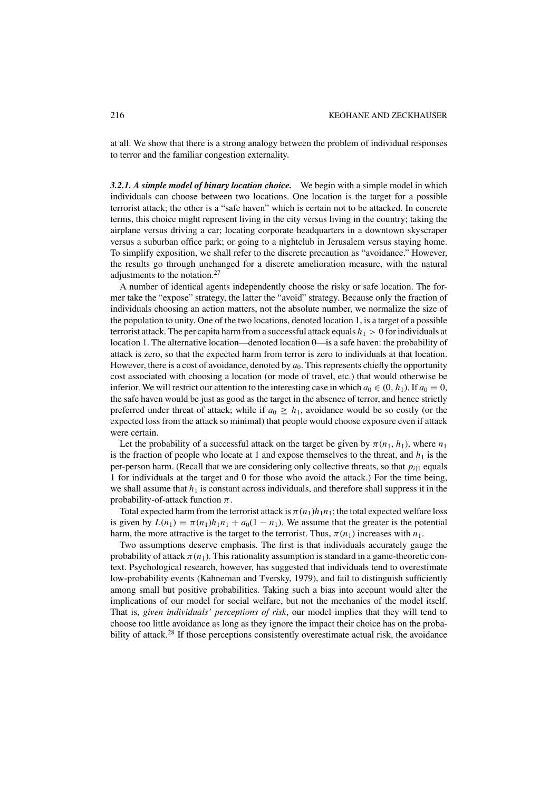at all. We show that there is a strong analogy between the problem of individual responses to terror and the familiar congestion externality.

*3.2.1. A simple model of binary location choice.* We begin with a simple model in which individuals can choose between two locations. One location is the target for a possible terrorist attack; the other is a "safe haven" which is certain not to be attacked. In concrete terms, this choice might represent living in the city versus living in the country; taking the airplane versus driving a car; locating corporate headquarters in a downtown skyscraper versus a suburban office park; or going to a nightclub in Jerusalem versus staying home. To simplify exposition, we shall refer to the discrete precaution as "avoidance." However, the results go through unchanged for a discrete amelioration measure, with the natural adjustments to the notation. $27$ 

A number of identical agents independently choose the risky or safe location. The former take the "expose" strategy, the latter the "avoid" strategy. Because only the fraction of individuals choosing an action matters, not the absolute number, we normalize the size of the population to unity. One of the two locations, denoted location 1, is a target of a possible terrorist attack. The per capita harm from a successful attack equals  $h_1 > 0$  for individuals at location 1. The alternative location—denoted location 0—is a safe haven: the probability of attack is zero, so that the expected harm from terror is zero to individuals at that location. However, there is a cost of avoidance, denoted by  $a_0$ . This represents chiefly the opportunity cost associated with choosing a location (or mode of travel, etc.) that would otherwise be inferior. We will restrict our attention to the interesting case in which  $a_0 \in (0, h_1)$ . If  $a_0 = 0$ , the safe haven would be just as good as the target in the absence of terror, and hence strictly preferred under threat of attack; while if  $a_0 \geq h_1$ , avoidance would be so costly (or the expected loss from the attack so minimal) that people would choose exposure even if attack were certain.

Let the probability of a successful attack on the target be given by  $\pi(n_1, h_1)$ , where  $n_1$ is the fraction of people who locate at 1 and expose themselves to the threat, and  $h_1$  is the per-person harm. (Recall that we are considering only collective threats, so that  $p_{i|1}$  equals 1 for individuals at the target and 0 for those who avoid the attack.) For the time being, we shall assume that  $h_1$  is constant across individuals, and therefore shall suppress it in the probability-of-attack function  $\pi$ .

Total expected harm from the terrorist attack is  $\pi(n_1)h_1n_1$ ; the total expected welfare loss is given by  $L(n_1) = \pi(n_1)h_1n_1 + a_0(1 - n_1)$ . We assume that the greater is the potential harm, the more attractive is the target to the terrorist. Thus,  $\pi(n_1)$  increases with  $n_1$ .

Two assumptions deserve emphasis. The first is that individuals accurately gauge the probability of attack  $\pi(n_1)$ . This rationality assumption is standard in a game-theoretic context. Psychological research, however, has suggested that individuals tend to overestimate low-probability events (Kahneman and Tversky, 1979), and fail to distinguish sufficiently among small but positive probabilities. Taking such a bias into account would alter the implications of our model for social welfare, but not the mechanics of the model itself. That is, *given individuals' perceptions of risk*, our model implies that they will tend to choose too little avoidance as long as they ignore the impact their choice has on the probability of attack.<sup>28</sup> If those perceptions consistently overestimate actual risk, the avoidance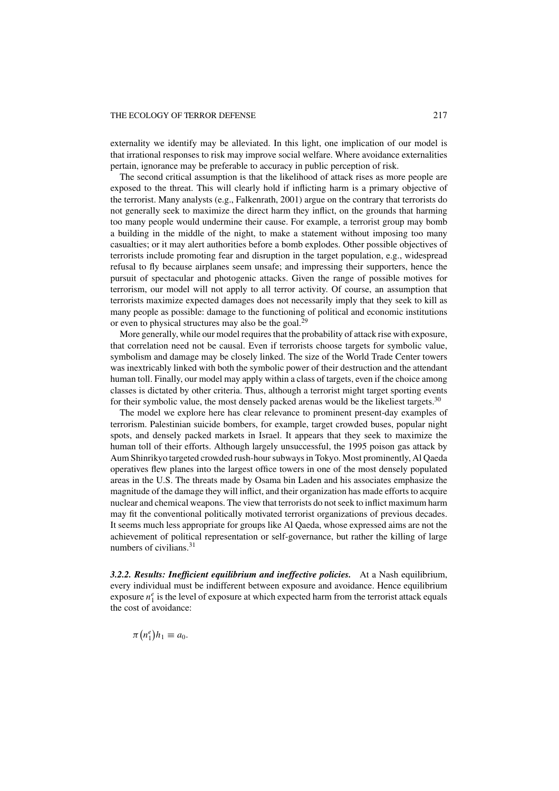externality we identify may be alleviated. In this light, one implication of our model is that irrational responses to risk may improve social welfare. Where avoidance externalities pertain, ignorance may be preferable to accuracy in public perception of risk.

The second critical assumption is that the likelihood of attack rises as more people are exposed to the threat. This will clearly hold if inflicting harm is a primary objective of the terrorist. Many analysts (e.g., Falkenrath, 2001) argue on the contrary that terrorists do not generally seek to maximize the direct harm they inflict, on the grounds that harming too many people would undermine their cause. For example, a terrorist group may bomb a building in the middle of the night, to make a statement without imposing too many casualties; or it may alert authorities before a bomb explodes. Other possible objectives of terrorists include promoting fear and disruption in the target population, e.g., widespread refusal to fly because airplanes seem unsafe; and impressing their supporters, hence the pursuit of spectacular and photogenic attacks. Given the range of possible motives for terrorism, our model will not apply to all terror activity. Of course, an assumption that terrorists maximize expected damages does not necessarily imply that they seek to kill as many people as possible: damage to the functioning of political and economic institutions or even to physical structures may also be the goal. $^{29}$ 

More generally, while our model requires that the probability of attack rise with exposure, that correlation need not be causal. Even if terrorists choose targets for symbolic value, symbolism and damage may be closely linked. The size of the World Trade Center towers was inextricably linked with both the symbolic power of their destruction and the attendant human toll. Finally, our model may apply within a class of targets, even if the choice among classes is dictated by other criteria. Thus, although a terrorist might target sporting events for their symbolic value, the most densely packed arenas would be the likeliest targets.<sup>30</sup>

The model we explore here has clear relevance to prominent present-day examples of terrorism. Palestinian suicide bombers, for example, target crowded buses, popular night spots, and densely packed markets in Israel. It appears that they seek to maximize the human toll of their efforts. Although largely unsuccessful, the 1995 poison gas attack by Aum Shinrikyo targeted crowded rush-hour subways in Tokyo. Most prominently, Al Qaeda operatives flew planes into the largest office towers in one of the most densely populated areas in the U.S. The threats made by Osama bin Laden and his associates emphasize the magnitude of the damage they will inflict, and their organization has made efforts to acquire nuclear and chemical weapons. The view that terrorists do not seek to inflict maximum harm may fit the conventional politically motivated terrorist organizations of previous decades. It seems much less appropriate for groups like Al Qaeda, whose expressed aims are not the achievement of political representation or self-governance, but rather the killing of large numbers of civilians.<sup>31</sup>

*3.2.2. Results: Inefficient equilibrium and ineffective policies.* At a Nash equilibrium, every individual must be indifferent between exposure and avoidance. Hence equilibrium exposure  $n_1^e$  is the level of exposure at which expected harm from the terrorist attack equals the cost of avoidance:

 $\pi (n_1^e)h_1 \equiv a_0.$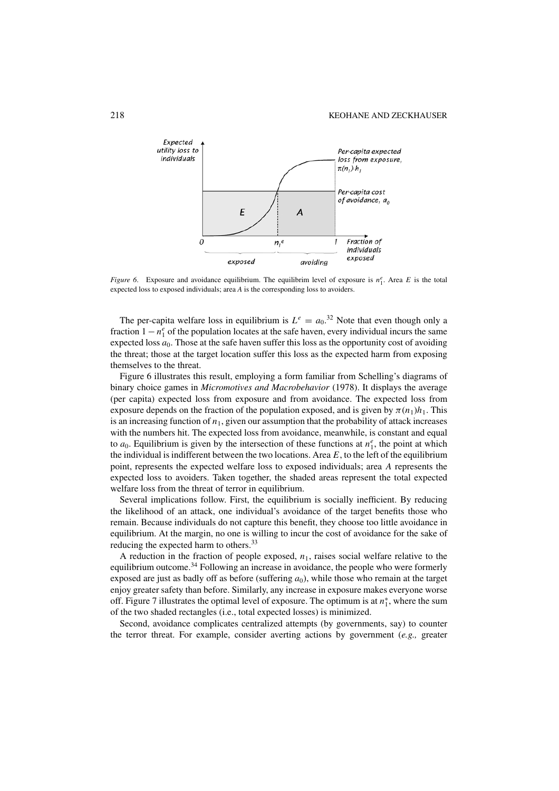

*Figure 6.* Exposure and avoidance equilibrium. The equilibrim level of exposure is  $n_f^e$ . Area *E* is the total expected loss to exposed individuals; area *A* is the corresponding loss to avoiders.

The per-capita welfare loss in equilibrium is  $L^e = a_0^{32}$ . Note that even though only a fraction  $1 - n_1^e$  of the population locates at the safe haven, every individual incurs the same expected loss  $a_0$ . Those at the safe haven suffer this loss as the opportunity cost of avoiding the threat; those at the target location suffer this loss as the expected harm from exposing themselves to the threat.

Figure 6 illustrates this result, employing a form familiar from Schelling's diagrams of binary choice games in *Micromotives and Macrobehavior* (1978). It displays the average (per capita) expected loss from exposure and from avoidance. The expected loss from exposure depends on the fraction of the population exposed, and is given by  $\pi(n_1)h_1$ . This is an increasing function of  $n_1$ , given our assumption that the probability of attack increases with the numbers hit. The expected loss from avoidance, meanwhile, is constant and equal to  $a_0$ . Equilibrium is given by the intersection of these functions at  $n_1^e$ , the point at which the individual is indifferent between the two locations. Area *E*, to the left of the equilibrium point, represents the expected welfare loss to exposed individuals; area *A* represents the expected loss to avoiders. Taken together, the shaded areas represent the total expected welfare loss from the threat of terror in equilibrium.

Several implications follow. First, the equilibrium is socially inefficient. By reducing the likelihood of an attack, one individual's avoidance of the target benefits those who remain. Because individuals do not capture this benefit, they choose too little avoidance in equilibrium. At the margin, no one is willing to incur the cost of avoidance for the sake of reducing the expected harm to others.<sup>33</sup>

A reduction in the fraction of people exposed,  $n_1$ , raises social welfare relative to the equilibrium outcome.<sup>34</sup> Following an increase in avoidance, the people who were formerly exposed are just as badly off as before (suffering  $a<sub>0</sub>$ ), while those who remain at the target enjoy greater safety than before. Similarly, any increase in exposure makes everyone worse off. Figure 7 illustrates the optimal level of exposure. The optimum is at *n*<sup>∗</sup> 1, where the sum of the two shaded rectangles (i.e., total expected losses) is minimized.

Second, avoidance complicates centralized attempts (by governments, say) to counter the terror threat. For example, consider averting actions by government (*e.g.,* greater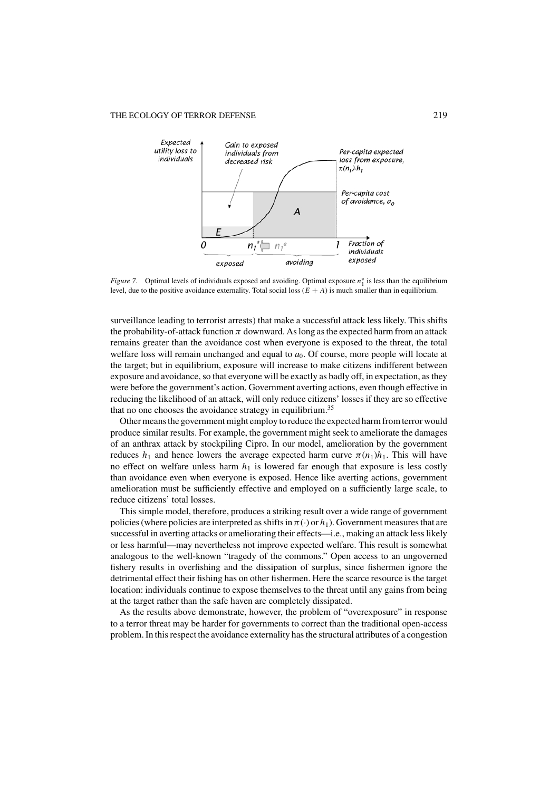

*Figure 7*. Optimal levels of individuals exposed and avoiding. Optimal exposure *n*∗ <sup>1</sup> is less than the equilibrium level, due to the positive avoidance externality. Total social loss  $(E + A)$  is much smaller than in equilibrium.

surveillance leading to terrorist arrests) that make a successful attack less likely. This shifts the probability-of-attack function  $\pi$  downward. As long as the expected harm from an attack remains greater than the avoidance cost when everyone is exposed to the threat, the total welfare loss will remain unchanged and equal to  $a_0$ . Of course, more people will locate at the target; but in equilibrium, exposure will increase to make citizens indifferent between exposure and avoidance, so that everyone will be exactly as badly off, in expectation, as they were before the government's action. Government averting actions, even though effective in reducing the likelihood of an attack, will only reduce citizens' losses if they are so effective that no one chooses the avoidance strategy in equilibrium.<sup>35</sup>

Other means the government might employ to reduce the expected harm from terror would produce similar results. For example, the government might seek to ameliorate the damages of an anthrax attack by stockpiling Cipro. In our model, amelioration by the government reduces  $h_1$  and hence lowers the average expected harm curve  $\pi(n_1)h_1$ . This will have no effect on welfare unless harm  $h_1$  is lowered far enough that exposure is less costly than avoidance even when everyone is exposed. Hence like averting actions, government amelioration must be sufficiently effective and employed on a sufficiently large scale, to reduce citizens' total losses.

This simple model, therefore, produces a striking result over a wide range of government policies (where policies are interpreted as shifts in  $\pi(\cdot)$  or  $h_1$ ). Government measures that are successful in averting attacks or ameliorating their effects—i.e., making an attack less likely or less harmful—may nevertheless not improve expected welfare. This result is somewhat analogous to the well-known "tragedy of the commons." Open access to an ungoverned fishery results in overfishing and the dissipation of surplus, since fishermen ignore the detrimental effect their fishing has on other fishermen. Here the scarce resource is the target location: individuals continue to expose themselves to the threat until any gains from being at the target rather than the safe haven are completely dissipated.

As the results above demonstrate, however, the problem of "overexposure" in response to a terror threat may be harder for governments to correct than the traditional open-access problem. In this respect the avoidance externality has the structural attributes of a congestion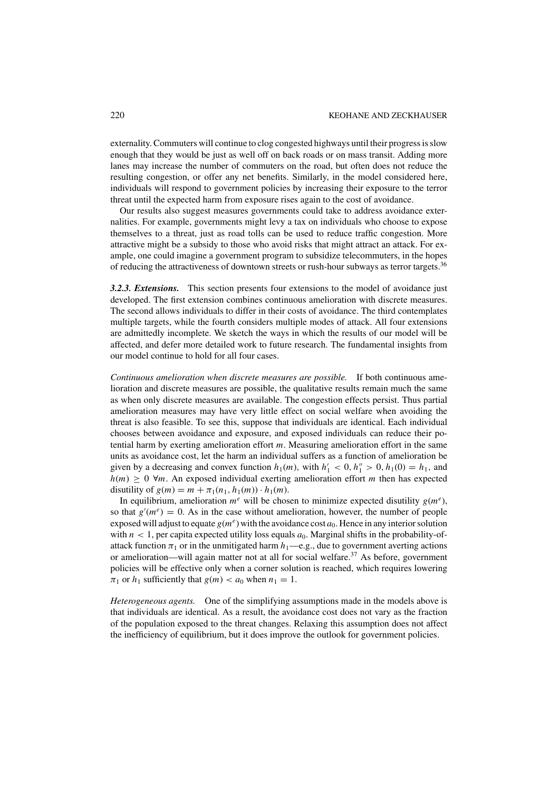externality. Commuters will continue to clog congested highways until their progress is slow enough that they would be just as well off on back roads or on mass transit. Adding more lanes may increase the number of commuters on the road, but often does not reduce the resulting congestion, or offer any net benefits. Similarly, in the model considered here, individuals will respond to government policies by increasing their exposure to the terror threat until the expected harm from exposure rises again to the cost of avoidance.

Our results also suggest measures governments could take to address avoidance externalities. For example, governments might levy a tax on individuals who choose to expose themselves to a threat, just as road tolls can be used to reduce traffic congestion. More attractive might be a subsidy to those who avoid risks that might attract an attack. For example, one could imagine a government program to subsidize telecommuters, in the hopes of reducing the attractiveness of downtown streets or rush-hour subways as terror targets.<sup>36</sup>

*3.2.3. Extensions.* This section presents four extensions to the model of avoidance just developed. The first extension combines continuous amelioration with discrete measures. The second allows individuals to differ in their costs of avoidance. The third contemplates multiple targets, while the fourth considers multiple modes of attack. All four extensions are admittedly incomplete. We sketch the ways in which the results of our model will be affected, and defer more detailed work to future research. The fundamental insights from our model continue to hold for all four cases.

*Continuous amelioration when discrete measures are possible.* If both continuous amelioration and discrete measures are possible, the qualitative results remain much the same as when only discrete measures are available. The congestion effects persist. Thus partial amelioration measures may have very little effect on social welfare when avoiding the threat is also feasible. To see this, suppose that individuals are identical. Each individual chooses between avoidance and exposure, and exposed individuals can reduce their potential harm by exerting amelioration effort *m*. Measuring amelioration effort in the same units as avoidance cost, let the harm an individual suffers as a function of amelioration be given by a decreasing and convex function  $h_1(m)$ , with  $h'_1 < 0$ ,  $h''_1 > 0$ ,  $h_1(0) = h_1$ , and  $h(m) > 0$   $\forall m$ . An exposed individual exerting amelioration effort *m* then has expected disutility of  $g(m) = m + \pi_1(n_1, h_1(m)) \cdot h_1(m)$ .

In equilibrium, amelioration  $m^e$  will be chosen to minimize expected disutility  $g(m^e)$ , so that  $g'(m^e) = 0$ . As in the case without amelioration, however, the number of people exposed will adjust to equate  $g(m^e)$  with the avoidance cost  $a_0$ . Hence in any interior solution with  $n < 1$ , per capita expected utility loss equals  $a_0$ . Marginal shifts in the probability-ofattack function  $\pi_1$  or in the unmitigated harm  $h_1$ —e.g., due to government averting actions or amelioration—will again matter not at all for social welfare.37 As before, government policies will be effective only when a corner solution is reached, which requires lowering  $\pi_1$  or  $h_1$  sufficiently that  $g(m) < a_0$  when  $n_1 = 1$ .

*Heterogeneous agents.* One of the simplifying assumptions made in the models above is that individuals are identical. As a result, the avoidance cost does not vary as the fraction of the population exposed to the threat changes. Relaxing this assumption does not affect the inefficiency of equilibrium, but it does improve the outlook for government policies.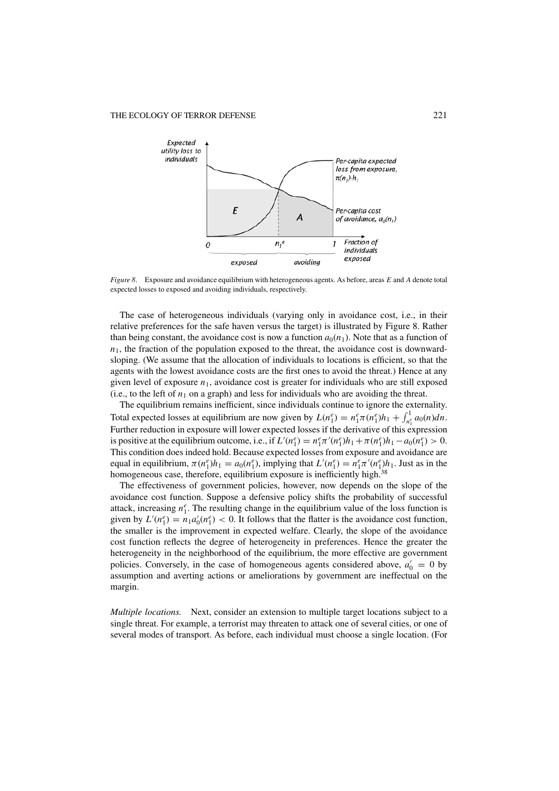

*Figure 8*. Exposure and avoidance equilibrium with heterogeneous agents. As before, areas *E* and *A* denote total expected losses to exposed and avoiding individuals, respectively.

The case of heterogeneous individuals (varying only in avoidance cost, i.e., in their relative preferences for the safe haven versus the target) is illustrated by Figure 8. Rather than being constant, the avoidance cost is now a function  $a_0(n_1)$ . Note that as a function of  $n_1$ , the fraction of the population exposed to the threat, the avoidance cost is downwardsloping. (We assume that the allocation of individuals to locations is efficient, so that the agents with the lowest avoidance costs are the first ones to avoid the threat.) Hence at any given level of exposure  $n_1$ , avoidance cost is greater for individuals who are still exposed (i.e., to the left of  $n_1$  on a graph) and less for individuals who are avoiding the threat.

The equilibrium remains inefficient, since individuals continue to ignore the externality. Total expected losses at equilibrium are now given by  $L(n_1^e) = n_1^e \pi(n_1^e)h_1 + \int_{n_1^e}^1 a_0(n)dn$ . Further reduction in exposure will lower expected losses if the derivative of this expression is positive at the equilibrium outcome, i.e., if  $L'(n_1^e) = n_1^e \pi'(n_1^e)h_1 + \pi(n_1^e)h_1 - a_0(n_1^e) > 0$ . This condition does indeed hold. Because expected losses from exposure and avoidance are equal in equilibrium,  $\pi(n_1^e)h_1 = a_0(n_1^e)$ , implying that  $L'(n_1^e) = n_1^e \pi'(n_1^e)h_1$ . Just as in the homogeneous case, therefore, equilibrium exposure is inefficiently high.<sup>38</sup>

The effectiveness of government policies, however, now depends on the slope of the avoidance cost function. Suppose a defensive policy shifts the probability of successful attack, increasing  $n_1^e$ . The resulting change in the equilibrium value of the loss function is given by  $L'(n_1^e) = n_1 a'_0(n_1^e) < 0$ . It follows that the flatter is the avoidance cost function, the smaller is the improvement in expected welfare. Clearly, the slope of the avoidance cost function reflects the degree of heterogeneity in preferences. Hence the greater the heterogeneity in the neighborhood of the equilibrium, the more effective are government policies. Conversely, in the case of homogeneous agents considered above,  $a'_0 = 0$  by assumption and averting actions or ameliorations by government are ineffectual on the margin.

*Multiple locations.* Next, consider an extension to multiple target locations subject to a single threat. For example, a terrorist may threaten to attack one of several cities, or one of several modes of transport. As before, each individual must choose a single location. (For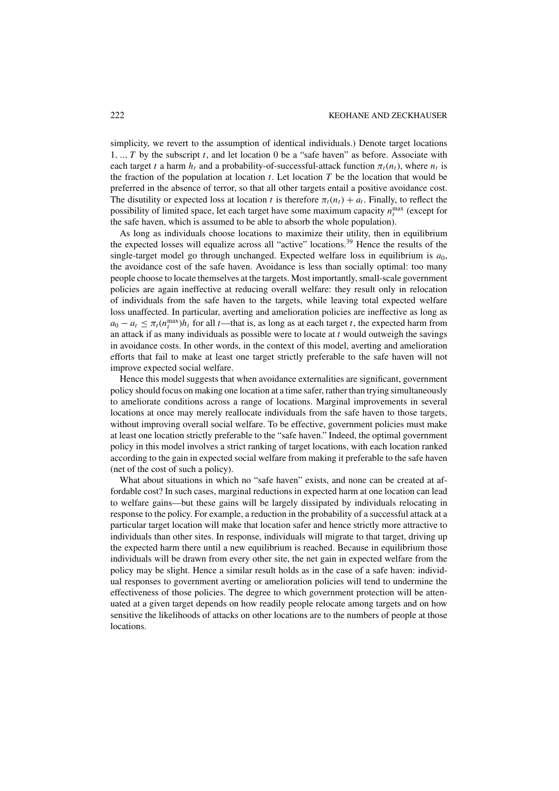simplicity, we revert to the assumption of identical individuals.) Denote target locations 1, .., *T* by the subscript *t*, and let location 0 be a "safe haven" as before. Associate with each target *t* a harm  $h_t$  and a probability-of-successful-attack function  $\pi_t(n_t)$ , where  $n_t$  is the fraction of the population at location  $t$ . Let location  $T$  be the location that would be preferred in the absence of terror, so that all other targets entail a positive avoidance cost. The disutility or expected loss at location *t* is therefore  $\pi_t(n_t) + a_t$ . Finally, to reflect the possibility of limited space, let each target have some maximum capacity  $n_t^{\max}$  (except for the safe haven, which is assumed to be able to absorb the whole population).

As long as individuals choose locations to maximize their utility, then in equilibrium the expected losses will equalize across all "active" locations.<sup>39</sup> Hence the results of the single-target model go through unchanged. Expected welfare loss in equilibrium is  $a_0$ , the avoidance cost of the safe haven. Avoidance is less than socially optimal: too many people choose to locate themselves at the targets. Most importantly, small-scale government policies are again ineffective at reducing overall welfare: they result only in relocation of individuals from the safe haven to the targets, while leaving total expected welfare loss unaffected. In particular, averting and amelioration policies are ineffective as long as  $a_0 - a_t \leq \pi_t(n_t^{\max})h_t$  for all *t*—that is, as long as at each target *t*, the expected harm from an attack if as many individuals as possible were to locate at *t* would outweigh the savings in avoidance costs. In other words, in the context of this model, averting and amelioration efforts that fail to make at least one target strictly preferable to the safe haven will not improve expected social welfare.

Hence this model suggests that when avoidance externalities are significant, government policy should focus on making one location at a time safer, rather than trying simultaneously to ameliorate conditions across a range of locations. Marginal improvements in several locations at once may merely reallocate individuals from the safe haven to those targets, without improving overall social welfare. To be effective, government policies must make at least one location strictly preferable to the "safe haven." Indeed, the optimal government policy in this model involves a strict ranking of target locations, with each location ranked according to the gain in expected social welfare from making it preferable to the safe haven (net of the cost of such a policy).

What about situations in which no "safe haven" exists, and none can be created at affordable cost? In such cases, marginal reductions in expected harm at one location can lead to welfare gains—but these gains will be largely dissipated by individuals relocating in response to the policy. For example, a reduction in the probability of a successful attack at a particular target location will make that location safer and hence strictly more attractive to individuals than other sites. In response, individuals will migrate to that target, driving up the expected harm there until a new equilibrium is reached. Because in equilibrium those individuals will be drawn from every other site, the net gain in expected welfare from the policy may be slight. Hence a similar result holds as in the case of a safe haven: individual responses to government averting or amelioration policies will tend to undermine the effectiveness of those policies. The degree to which government protection will be attenuated at a given target depends on how readily people relocate among targets and on how sensitive the likelihoods of attacks on other locations are to the numbers of people at those locations.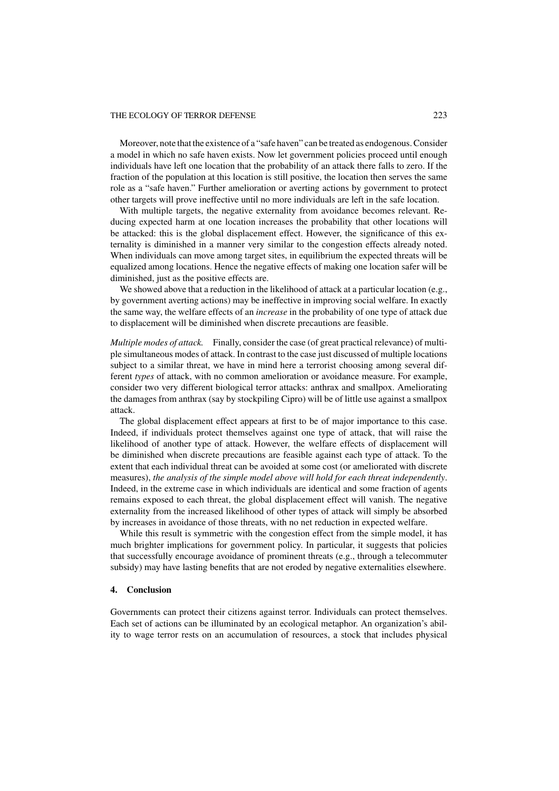Moreover, note that the existence of a "safe haven" can be treated as endogenous. Consider a model in which no safe haven exists. Now let government policies proceed until enough individuals have left one location that the probability of an attack there falls to zero. If the fraction of the population at this location is still positive, the location then serves the same role as a "safe haven." Further amelioration or averting actions by government to protect other targets will prove ineffective until no more individuals are left in the safe location.

With multiple targets, the negative externality from avoidance becomes relevant. Reducing expected harm at one location increases the probability that other locations will be attacked: this is the global displacement effect. However, the significance of this externality is diminished in a manner very similar to the congestion effects already noted. When individuals can move among target sites, in equilibrium the expected threats will be equalized among locations. Hence the negative effects of making one location safer will be diminished, just as the positive effects are.

We showed above that a reduction in the likelihood of attack at a particular location (e.g., by government averting actions) may be ineffective in improving social welfare. In exactly the same way, the welfare effects of an *increase* in the probability of one type of attack due to displacement will be diminished when discrete precautions are feasible.

*Multiple modes of attack.* Finally, consider the case (of great practical relevance) of multiple simultaneous modes of attack. In contrast to the case just discussed of multiple locations subject to a similar threat, we have in mind here a terrorist choosing among several different *types* of attack, with no common amelioration or avoidance measure. For example, consider two very different biological terror attacks: anthrax and smallpox. Ameliorating the damages from anthrax (say by stockpiling Cipro) will be of little use against a smallpox attack.

The global displacement effect appears at first to be of major importance to this case. Indeed, if individuals protect themselves against one type of attack, that will raise the likelihood of another type of attack. However, the welfare effects of displacement will be diminished when discrete precautions are feasible against each type of attack. To the extent that each individual threat can be avoided at some cost (or ameliorated with discrete measures), *the analysis of the simple model above will hold for each threat independently*. Indeed, in the extreme case in which individuals are identical and some fraction of agents remains exposed to each threat, the global displacement effect will vanish. The negative externality from the increased likelihood of other types of attack will simply be absorbed by increases in avoidance of those threats, with no net reduction in expected welfare.

While this result is symmetric with the congestion effect from the simple model, it has much brighter implications for government policy. In particular, it suggests that policies that successfully encourage avoidance of prominent threats (e.g., through a telecommuter subsidy) may have lasting benefits that are not eroded by negative externalities elsewhere.

## **4. Conclusion**

Governments can protect their citizens against terror. Individuals can protect themselves. Each set of actions can be illuminated by an ecological metaphor. An organization's ability to wage terror rests on an accumulation of resources, a stock that includes physical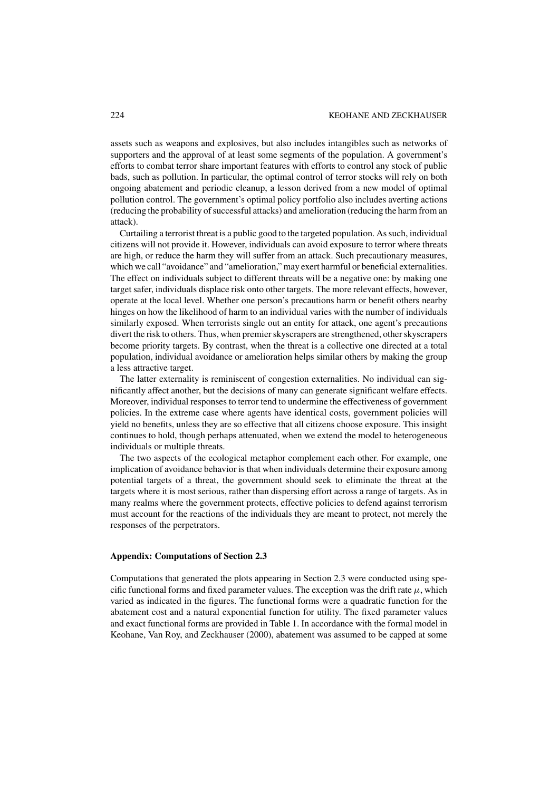assets such as weapons and explosives, but also includes intangibles such as networks of supporters and the approval of at least some segments of the population. A government's efforts to combat terror share important features with efforts to control any stock of public bads, such as pollution. In particular, the optimal control of terror stocks will rely on both ongoing abatement and periodic cleanup, a lesson derived from a new model of optimal pollution control. The government's optimal policy portfolio also includes averting actions (reducing the probability of successful attacks) and amelioration (reducing the harm from an attack).

Curtailing a terrorist threat is a public good to the targeted population. As such, individual citizens will not provide it. However, individuals can avoid exposure to terror where threats are high, or reduce the harm they will suffer from an attack. Such precautionary measures, which we call "avoidance" and "amelioration," may exert harmful or beneficial externalities. The effect on individuals subject to different threats will be a negative one: by making one target safer, individuals displace risk onto other targets. The more relevant effects, however, operate at the local level. Whether one person's precautions harm or benefit others nearby hinges on how the likelihood of harm to an individual varies with the number of individuals similarly exposed. When terrorists single out an entity for attack, one agent's precautions divert the risk to others. Thus, when premier skyscrapers are strengthened, other skyscrapers become priority targets. By contrast, when the threat is a collective one directed at a total population, individual avoidance or amelioration helps similar others by making the group a less attractive target.

The latter externality is reminiscent of congestion externalities. No individual can significantly affect another, but the decisions of many can generate significant welfare effects. Moreover, individual responses to terror tend to undermine the effectiveness of government policies. In the extreme case where agents have identical costs, government policies will yield no benefits, unless they are so effective that all citizens choose exposure. This insight continues to hold, though perhaps attenuated, when we extend the model to heterogeneous individuals or multiple threats.

The two aspects of the ecological metaphor complement each other. For example, one implication of avoidance behavior is that when individuals determine their exposure among potential targets of a threat, the government should seek to eliminate the threat at the targets where it is most serious, rather than dispersing effort across a range of targets. As in many realms where the government protects, effective policies to defend against terrorism must account for the reactions of the individuals they are meant to protect, not merely the responses of the perpetrators.

#### **Appendix: Computations of Section 2.3**

Computations that generated the plots appearing in Section 2.3 were conducted using specific functional forms and fixed parameter values. The exception was the drift rate  $\mu$ , which varied as indicated in the figures. The functional forms were a quadratic function for the abatement cost and a natural exponential function for utility. The fixed parameter values and exact functional forms are provided in Table 1. In accordance with the formal model in Keohane, Van Roy, and Zeckhauser (2000), abatement was assumed to be capped at some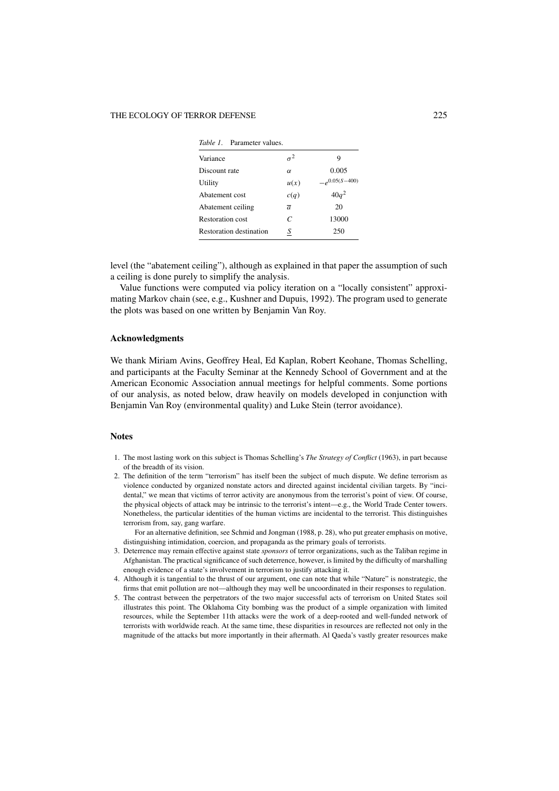| Table 1. Parameter values.          |                    |  |
|-------------------------------------|--------------------|--|
| $\sigma^2$<br>Variance              | 9                  |  |
| Discount rate<br>$\alpha$           | 0.005              |  |
| Utility<br>u(x)                     | $-e^{0.05(S-400)}$ |  |
| Abatement cost<br>c(q)              | $40q^2$            |  |
| Abatement ceiling<br>$\overline{a}$ | 20                 |  |
| <b>Restoration cost</b><br>C        | 13000              |  |
| <b>Restoration destination</b><br>S | 250                |  |

level (the "abatement ceiling"), although as explained in that paper the assumption of such a ceiling is done purely to simplify the analysis.

Value functions were computed via policy iteration on a "locally consistent" approximating Markov chain (see, e.g., Kushner and Dupuis, 1992). The program used to generate the plots was based on one written by Benjamin Van Roy.

## **Acknowledgments**

We thank Miriam Avins, Geoffrey Heal, Ed Kaplan, Robert Keohane, Thomas Schelling, and participants at the Faculty Seminar at the Kennedy School of Government and at the American Economic Association annual meetings for helpful comments. Some portions of our analysis, as noted below, draw heavily on models developed in conjunction with Benjamin Van Roy (environmental quality) and Luke Stein (terror avoidance).

# **Notes**

- 1. The most lasting work on this subject is Thomas Schelling's *The Strategy of Conflict* (1963), in part because of the breadth of its vision.
- 2. The definition of the term "terrorism" has itself been the subject of much dispute. We define terrorism as violence conducted by organized nonstate actors and directed against incidental civilian targets. By "incidental," we mean that victims of terror activity are anonymous from the terrorist's point of view. Of course, the physical objects of attack may be intrinsic to the terrorist's intent—e.g., the World Trade Center towers. Nonetheless, the particular identities of the human victims are incidental to the terrorist. This distinguishes terrorism from, say, gang warfare.

For an alternative definition, see Schmid and Jongman (1988, p. 28), who put greater emphasis on motive, distinguishing intimidation, coercion, and propaganda as the primary goals of terrorists.

- 3. Deterrence may remain effective against state *sponsors* of terror organizations, such as the Taliban regime in Afghanistan. The practical significance of such deterrence, however, is limited by the difficulty of marshalling enough evidence of a state's involvement in terrorism to justify attacking it.
- 4. Although it is tangential to the thrust of our argument, one can note that while "Nature" is nonstrategic, the firms that emit pollution are not—although they may well be uncoordinated in their responses to regulation.
- 5. The contrast between the perpetrators of the two major successful acts of terrorism on United States soil illustrates this point. The Oklahoma City bombing was the product of a simple organization with limited resources, while the September 11th attacks were the work of a deep-rooted and well-funded network of terrorists with worldwide reach. At the same time, these disparities in resources are reflected not only in the magnitude of the attacks but more importantly in their aftermath. Al Qaeda's vastly greater resources make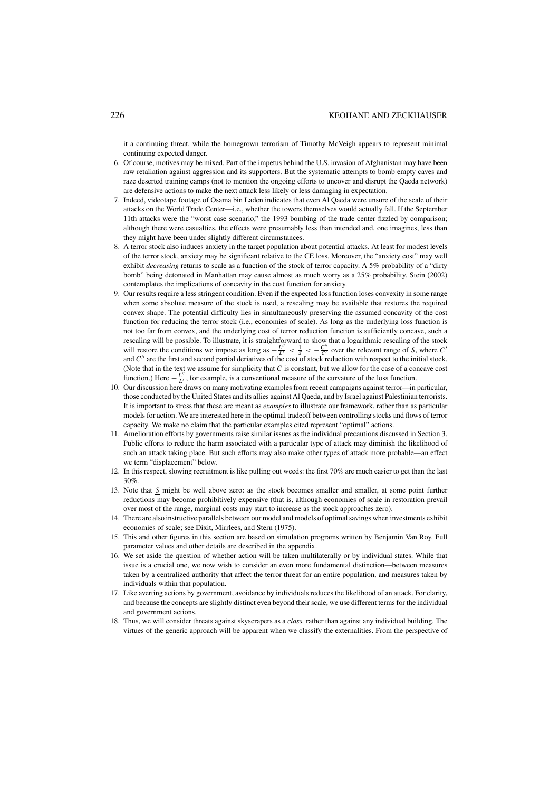it a continuing threat, while the homegrown terrorism of Timothy McVeigh appears to represent minimal continuing expected danger.

- 6. Of course, motives may be mixed. Part of the impetus behind the U.S. invasion of Afghanistan may have been raw retaliation against aggression and its supporters. But the systematic attempts to bomb empty caves and raze deserted training camps (not to mention the ongoing efforts to uncover and disrupt the Qaeda network) are defensive actions to make the next attack less likely or less damaging in expectation.
- 7. Indeed, videotape footage of Osama bin Laden indicates that even Al Qaeda were unsure of the scale of their attacks on the World Trade Center—i.e., whether the towers themselves would actually fall. If the September 11th attacks were the "worst case scenario," the 1993 bombing of the trade center fizzled by comparison; although there were casualties, the effects were presumably less than intended and, one imagines, less than they might have been under slightly different circumstances.
- 8. A terror stock also induces anxiety in the target population about potential attacks. At least for modest levels of the terror stock, anxiety may be significant relative to the CE loss. Moreover, the "anxiety cost" may well exhibit *decreasing* returns to scale as a function of the stock of terror capacity. A 5% probability of a "dirty bomb" being detonated in Manhattan may cause almost as much worry as a 25% probability. Stein (2002) contemplates the implications of concavity in the cost function for anxiety.
- 9. Our results require a less stringent condition. Even if the expected loss function loses convexity in some range when some absolute measure of the stock is used, a rescaling may be available that restores the required convex shape. The potential difficulty lies in simultaneously preserving the assumed concavity of the cost function for reducing the terror stock (i.e., economies of scale). As long as the underlying loss function is not too far from convex, and the underlying cost of terror reduction function is sufficiently concave, such a rescaling will be possible. To illustrate, it is straightforward to show that a logarithmic rescaling of the stock will restore the conditions we impose as long as  $-\frac{L''}{L'} < \frac{1}{S} < -\frac{C''}{C'}$  over the relevant range of *S*, where *C'* and  $C''$  are the first and second partial deriatives of the cost of stock reduction with respect to the initial stock. (Note that in the text we assume for simplicity that *C* is constant, but we allow for the case of a concave cost function.) Here  $-\frac{L''}{L'}$ , for example, is a conventional measure of the curvature of the loss function.
- 10. Our discussion here draws on many motivating examples from recent campaigns against terror—in particular, those conducted by the United States and its allies against Al Qaeda, and by Israel against Palestinian terrorists. It is important to stress that these are meant as *examples* to illustrate our framework, rather than as particular models for action. We are interested here in the optimal tradeoff between controlling stocks and flows of terror capacity. We make no claim that the particular examples cited represent "optimal" actions.
- 11. Amelioration efforts by governments raise similar issues as the individual precautions discussed in Section 3. Public efforts to reduce the harm associated with a particular type of attack may diminish the likelihood of such an attack taking place. But such efforts may also make other types of attack more probable—an effect we term "displacement" below.
- 12. In this respect, slowing recruitment is like pulling out weeds: the first  $70\%$  are much easier to get than the last 30%.
- 13. Note that *S* might be well above zero: as the stock becomes smaller and smaller, at some point further reductions may become prohibitively expensive (that is, although economies of scale in restoration prevail over most of the range, marginal costs may start to increase as the stock approaches zero).
- 14. There are also instructive parallels between our model and models of optimal savings when investments exhibit economies of scale; see Dixit, Mirrlees, and Stern (1975).
- 15. This and other figures in this section are based on simulation programs written by Benjamin Van Roy. Full parameter values and other details are described in the appendix.
- 16. We set aside the question of whether action will be taken multilaterally or by individual states. While that issue is a crucial one, we now wish to consider an even more fundamental distinction—between measures taken by a centralized authority that affect the terror threat for an entire population, and measures taken by individuals within that population.
- 17. Like averting actions by government, avoidance by individuals reduces the likelihood of an attack. For clarity, and because the concepts are slightly distinct even beyond their scale, we use different terms for the individual and government actions.
- 18. Thus, we will consider threats against skyscrapers as a *class,* rather than against any individual building. The virtues of the generic approach will be apparent when we classify the externalities. From the perspective of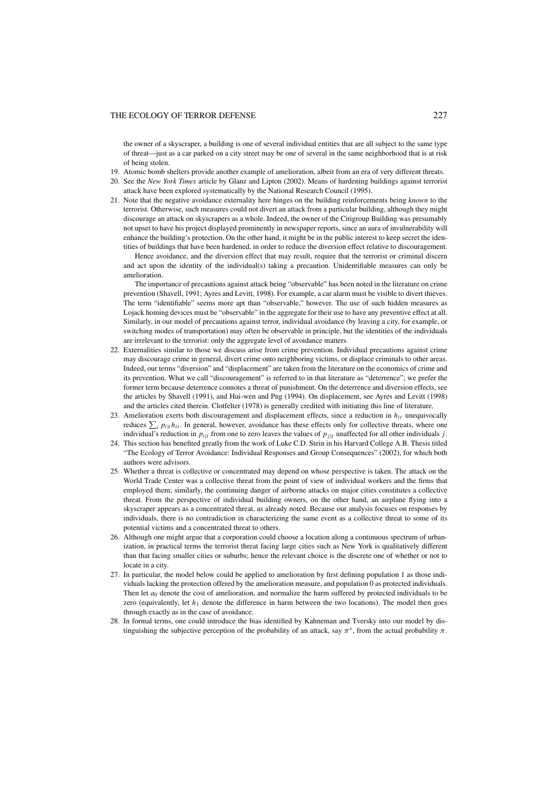the owner of a skyscraper, a building is one of several individual entities that are all subject to the same type of threat—just as a car parked on a city street may be one of several in the same neighborhood that is at risk of being stolen.

19. Atomic bomb shelters provide another example of amelioration, albeit from an era of very different threats.

- 20. See the *New York Times* article by Glanz and Lipton (2002). Means of hardening buildings against terrorist attack have been explored systematically by the National Research Council (1995).
- 21. Note that the negative avoidance externality here hinges on the building reinforcements being *known* to the terrorist. Otherwise, such measures could not divert an attack from a particular building, although they might discourage an attack on skyscrapers as a whole. Indeed, the owner of the Citigroup Building was presumably not upset to have his project displayed prominently in newspaper reports, since an aura of invulnerability will enhance the building's protection. On the other hand, it might be in the public interest to keep secret the identities of buildings that have been hardened, in order to reduce the diversion effect relative to discouragement.

Hence avoidance, and the diversion effect that may result, require that the terrorist or criminal discern and act upon the identity of the individual(s) taking a precaution. Unidentifiable measures can only be amelioration.

The importance of precautions against attack being "observable" has been noted in the literature on crime prevention (Shavell, 1991; Ayres and Levitt, 1998). For example, a car alarm must be visible to divert thieves. The term "identifiable" seems more apt than "observable," however. The use of such hidden measures as Lojack homing devices must be "observable" in the aggregate for their use to have any preventive effect at all. Similarly, in our model of precautions against terror, individual avoidance (by leaving a city, for example, or switching modes of transportation) may often be observable in principle, but the identities of the individuals are irrelevant to the terrorist: only the aggregate level of avoidance matters.

- 22. Externalities similar to those we discuss arise from crime prevention. Individual precautions against crime may discourage crime in general, divert crime onto neighboring victims, or displace criminals to other areas. Indeed, our terms "diversion" and "displacement" are taken from the literature on the economics of crime and its prevention. What we call "discouragement" is referred to in that literature as "deterrence"; we prefer the former term because deterrence connotes a threat of punishment. On the deterrence and diversion effects, see the articles by Shavell (1991), and Hui-wen and Png (1994). On displacement, see Ayres and Levitt (1998) and the articles cited therein. Clotfelter (1978) is generally credited with initiating this line of literature.
- 23. Amelioration exerts both discouragement and displacement effects, since a reduction in  $h_{it}$  unequivocally reduces  $\sum_i p_{i|t} h_{it}$ . In general, however, avoidance has these effects only for collective threats, where one individual's reduction in  $p_{i|t}$  from one to zero leaves the values of  $p_{i|t}$  unaffected for all other individuals *j*.
- 24. This section has benefited greatly from the work of Luke C.D. Stein in his Harvard College A.B. Thesis titled "The Ecology of Terror Avoidance: Individual Responses and Group Consequences" (2002), for which both authors were advisors.
- 25. Whether a threat is collective or concentrated may depend on whose perspective is taken. The attack on the World Trade Center was a collective threat from the point of view of individual workers and the firms that employed them; similarly, the continuing danger of airborne attacks on major cities constitutes a collective threat. From the perspective of individual building owners, on the other hand, an airplane flying into a skyscraper appears as a concentrated threat, as already noted. Because our analysis focuses on responses by individuals, there is no contradiction in characterizing the same event as a collective threat to some of its potential victims and a concentrated threat to others.
- 26. Although one might argue that a corporation could choose a location along a continuous spectrum of urbanization, in practical terms the terrorist threat facing large cities such as New York is qualitatively different than that facing smaller cities or suburbs; hence the relevant choice is the discrete one of whether or not to locate in a city.
- 27. In particular, the model below could be applied to amelioration by first defining population 1 as those individuals lacking the protection offered by the amelioration measure, and population 0 as protected individuals. Then let  $a_0$  denote the cost of amelioration, and normalize the harm suffered by protected individuals to be zero (equivalently, let  $h_1$  denote the difference in harm between the two locations). The model then goes through exactly as in the case of avoidance.
- 28. In formal terms, one could introduce the bias identified by Kahneman and Tversky into our model by distinguishing the subjective perception of the probability of an attack, say  $\pi^s$ , from the actual probability  $\pi$ .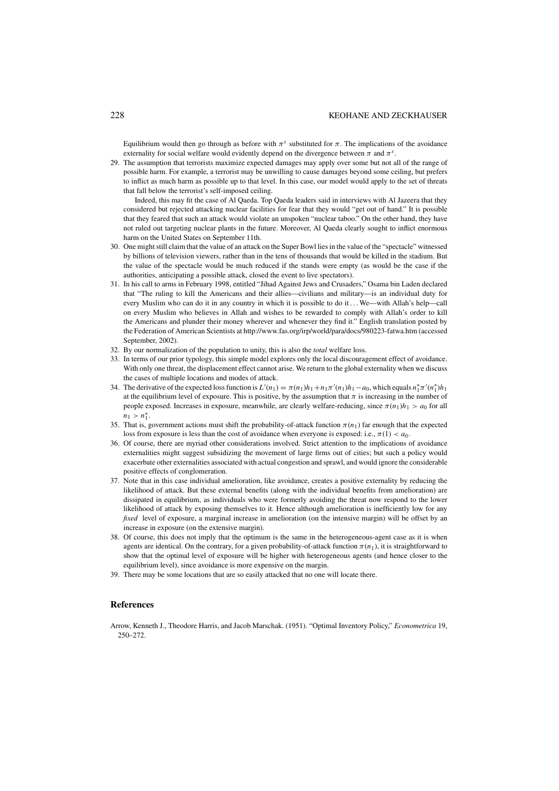Equilibrium would then go through as before with  $\pi^s$  substituted for  $\pi$ . The implications of the avoidance externality for social welfare would evidently depend on the divergence between  $\pi$  and  $\pi^s$ .

29. The assumption that terrorists maximize expected damages may apply over some but not all of the range of possible harm. For example, a terrorist may be unwilling to cause damages beyond some ceiling, but prefers to inflict as much harm as possible up to that level. In this case, our model would apply to the set of threats that fall below the terrorist's self-imposed ceiling.

Indeed, this may fit the case of Al Qaeda. Top Qaeda leaders said in interviews with Al Jazeera that they considered but rejected attacking nuclear facilities for fear that they would "get out of hand." It is possible that they feared that such an attack would violate an unspoken "nuclear taboo." On the other hand, they have not ruled out targeting nuclear plants in the future. Moreover, Al Qaeda clearly sought to inflict enormous harm on the United States on September 11th.

- 30. One might still claim that the value of an attack on the Super Bowl lies in the value of the "spectacle" witnessed by billions of television viewers, rather than in the tens of thousands that would be killed in the stadium. But the value of the spectacle would be much reduced if the stands were empty (as would be the case if the authorities, anticipating a possible attack, closed the event to live spectators).
- 31. In his call to arms in February 1998, entitled "Jihad Against Jews and Crusaders," Osama bin Laden declared that "The ruling to kill the Americans and their allies—civilians and military—is an individual duty for every Muslim who can do it in any country in which it is possible to do it . . . We—with Allah's help—call on every Muslim who believes in Allah and wishes to be rewarded to comply with Allah's order to kill the Americans and plunder their money wherever and whenever they find it." English translation posted by the Federation of American Scientists at http://www.fas.org/irp/world/para/docs/980223-fatwa.htm (accessed September, 2002).
- 32. By our normalization of the population to unity, this is also the *total* welfare loss.
- 33. In terms of our prior typology, this simple model explores only the local discouragement effect of avoidance. With only one threat, the displacement effect cannot arise. We return to the global externality when we discuss the cases of multiple locations and modes of attack.
- 34. The derivative of the expected loss function is  $L'(n_1) = \pi(n_1)h_1 + n_1\pi'(n_1)h_1 a_0$ , which equals  $n_1^*\pi'(n_1^*)h_1$ at the equilibrium level of exposure. This is positive, by the assumption that  $\pi$  is increasing in the number of people exposed. Increases in exposure, meanwhile, are clearly welfare-reducing, since  $\pi(n_1)h_1 > a_0$  for all  $n_1 > n_1^*$ .
- 35. That is, government actions must shift the probability-of-attack function  $\pi(n_1)$  far enough that the expected loss from exposure is less than the cost of avoidance when everyone is exposed: i.e.,  $\pi(1) < a_0$ .
- 36. Of course, there are myriad other considerations involved. Strict attention to the implications of avoidance externalities might suggest subsidizing the movement of large firms out of cities; but such a policy would exacerbate other externalities associated with actual congestion and sprawl, and would ignore the considerable positive effects of conglomeration.
- 37. Note that in this case individual amelioration, like avoidance, creates a positive externality by reducing the likelihood of attack. But these external benefits (along with the individual benefits from amelioration) are dissipated in equilibrium, as individuals who were formerly avoiding the threat now respond to the lower likelihood of attack by exposing themselves to it. Hence although amelioration is inefficiently low for any *fixed* level of exposure, a marginal increase in amelioration (on the intensive margin) will be offset by an increase in exposure (on the extensive margin).
- 38. Of course, this does not imply that the optimum is the same in the heterogeneous-agent case as it is when agents are identical. On the contrary, for a given probability-of-attack function  $\pi(n_1)$ , it is straightforward to show that the optimal level of exposure will be higher with heterogeneous agents (and hence closer to the equilibrium level), since avoidance is more expensive on the margin.
- 39. There may be some locations that are so easily attacked that no one will locate there.

## **References**

Arrow, Kenneth J., Theodore Harris, and Jacob Marschak. (1951). "Optimal Inventory Policy," *Econometrica* 19, 250–272.